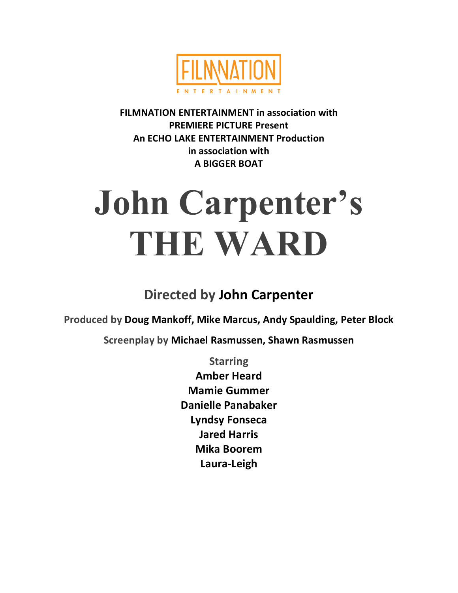

**FILMNATION ENTERTAINMENT in association with PREMIERE PICTURE Present An ECHO LAKE ENTERTAINMENT Production in!association!with A!BIGGER!BOAT**

# **John Carpenter's THE WARD**

## **Directed by John Carpenter**

Produced by Doug Mankoff, Mike Marcus, Andy Spaulding, Peter Block

**Screenplay by Michael Rasmussen, Shawn Rasmussen** 

**Starring Amber!Heard Mamie!Gummer Danielle!Panabaker Lyndsy!Fonseca Jared!Harris Mika!Boorem** Laura-Leigh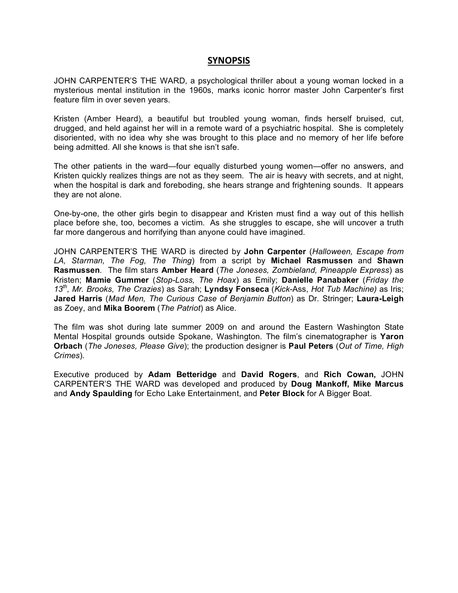#### **SYNOPSIS**

JOHN CARPENTER'S THE WARD, a psychological thriller about a young woman locked in a mysterious mental institution in the 1960s, marks iconic horror master John Carpenter's first feature film in over seven years.

Kristen (Amber Heard), a beautiful but troubled young woman, finds herself bruised, cut, drugged, and held against her will in a remote ward of a psychiatric hospital. She is completely disoriented, with no idea why she was brought to this place and no memory of her life before being admitted. All she knows is that she isn't safe.

The other patients in the ward—four equally disturbed young women—offer no answers, and Kristen quickly realizes things are not as they seem. The air is heavy with secrets, and at night, when the hospital is dark and foreboding, she hears strange and frightening sounds. It appears they are not alone.

One-by-one, the other girls begin to disappear and Kristen must find a way out of this hellish place before she, too, becomes a victim. As she struggles to escape, she will uncover a truth far more dangerous and horrifying than anyone could have imagined.

JOHN CARPENTER'S THE WARD is directed by **John Carpenter** (*Halloween, Escape from LA, Starman, The Fog, The Thing*) from a script by **Michael Rasmussen** and **Shawn Rasmussen**. The film stars **Amber Heard** (*The Joneses, Zombieland, Pineapple Express*) as Kristen; **Mamie Gummer** (*Stop-Loss, The Hoax*) as Emily; **Danielle Panabaker** (*Friday the 13th, Mr. Brooks, The Crazies*) as Sarah; **Lyndsy Fonseca** (*Kick*-Ass, *Hot Tub Machine)* as Iris; **Jared Harris** (*Mad Men, The Curious Case of Benjamin Button*) as Dr. Stringer; **Laura-Leigh**  as Zoey, and **Mika Boorem** (*The Patriot*) as Alice.

The film was shot during late summer 2009 on and around the Eastern Washington State Mental Hospital grounds outside Spokane, Washington. The film's cinematographer is **Yaron Orbach** (*The Joneses, Please Give*); the production designer is **Paul Peters** (*Out of Time, High Crimes*).

Executive produced by **Adam Betteridge** and **David Rogers**, and **Rich Cowan,** JOHN CARPENTER'S THE WARD was developed and produced by **Doug Mankoff, Mike Marcus** and **Andy Spaulding** for Echo Lake Entertainment, and **Peter Block** for A Bigger Boat.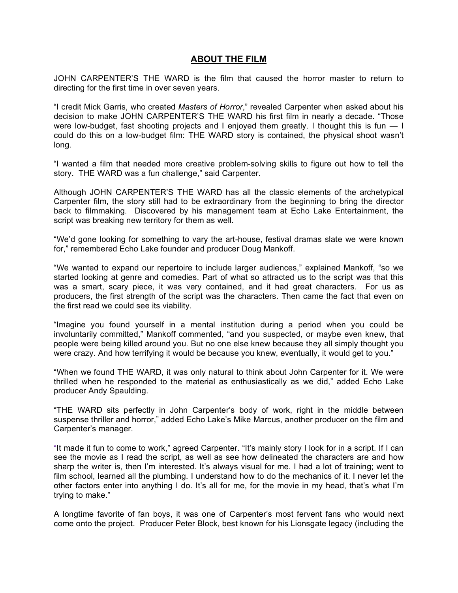#### **ABOUT THE FILM**

JOHN CARPENTER'S THE WARD is the film that caused the horror master to return to directing for the first time in over seven years.

"I credit Mick Garris, who created *Masters of Horror*," revealed Carpenter when asked about his decision to make JOHN CARPENTER'S THE WARD his first film in nearly a decade. "Those were low-budget, fast shooting projects and I enjoyed them greatly. I thought this is fun – I could do this on a low-budget film: THE WARD story is contained, the physical shoot wasn't long.

"I wanted a film that needed more creative problem-solving skills to figure out how to tell the story. THE WARD was a fun challenge," said Carpenter.

Although JOHN CARPENTER'S THE WARD has all the classic elements of the archetypical Carpenter film, the story still had to be extraordinary from the beginning to bring the director back to filmmaking. Discovered by his management team at Echo Lake Entertainment, the script was breaking new territory for them as well.

"We'd gone looking for something to vary the art-house, festival dramas slate we were known for," remembered Echo Lake founder and producer Doug Mankoff.

"We wanted to expand our repertoire to include larger audiences," explained Mankoff, "so we started looking at genre and comedies. Part of what so attracted us to the script was that this was a smart, scary piece, it was very contained, and it had great characters. For us as producers, the first strength of the script was the characters. Then came the fact that even on the first read we could see its viability.

"Imagine you found yourself in a mental institution during a period when you could be involuntarily committed," Mankoff commented, "and you suspected, or maybe even knew, that people were being killed around you. But no one else knew because they all simply thought you were crazy. And how terrifying it would be because you knew, eventually, it would get to you."

"When we found THE WARD, it was only natural to think about John Carpenter for it. We were thrilled when he responded to the material as enthusiastically as we did," added Echo Lake producer Andy Spaulding.

"THE WARD sits perfectly in John Carpenter's body of work, right in the middle between suspense thriller and horror," added Echo Lake's Mike Marcus, another producer on the film and Carpenter's manager.

"It made it fun to come to work," agreed Carpenter. "It's mainly story I look for in a script. If I can see the movie as I read the script, as well as see how delineated the characters are and how sharp the writer is, then I'm interested. It's always visual for me. I had a lot of training; went to film school, learned all the plumbing. I understand how to do the mechanics of it. I never let the other factors enter into anything I do. It's all for me, for the movie in my head, that's what I'm trying to make."

A longtime favorite of fan boys, it was one of Carpenter's most fervent fans who would next come onto the project. Producer Peter Block, best known for his Lionsgate legacy (including the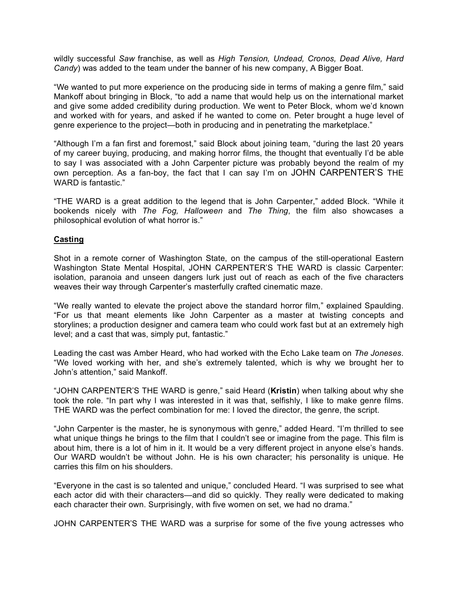wildly successful *Saw* franchise, as well as *High Tension, Undead, Cronos, Dead Alive, Hard Candy*) was added to the team under the banner of his new company, A Bigger Boat.

"We wanted to put more experience on the producing side in terms of making a genre film," said Mankoff about bringing in Block, "to add a name that would help us on the international market and give some added credibility during production. We went to Peter Block, whom we'd known and worked with for years, and asked if he wanted to come on. Peter brought a huge level of genre experience to the project—both in producing and in penetrating the marketplace."

"Although I'm a fan first and foremost," said Block about joining team, "during the last 20 years of my career buying, producing, and making horror films, the thought that eventually I'd be able to say I was associated with a John Carpenter picture was probably beyond the realm of my own perception. As a fan-boy, the fact that I can say I'm on JOHN CARPENTER'S THE WARD is fantastic."

"THE WARD is a great addition to the legend that is John Carpenter," added Block. "While it bookends nicely with *The Fog, Halloween* and *The Thing*, the film also showcases a philosophical evolution of what horror is."

#### **Casting**

Shot in a remote corner of Washington State, on the campus of the still-operational Eastern Washington State Mental Hospital, JOHN CARPENTER'S THE WARD is classic Carpenter: isolation, paranoia and unseen dangers lurk just out of reach as each of the five characters weaves their way through Carpenter's masterfully crafted cinematic maze.

"We really wanted to elevate the project above the standard horror film," explained Spaulding. "For us that meant elements like John Carpenter as a master at twisting concepts and storylines; a production designer and camera team who could work fast but at an extremely high level; and a cast that was, simply put, fantastic."

Leading the cast was Amber Heard, who had worked with the Echo Lake team on *The Joneses*. "We loved working with her, and she's extremely talented, which is why we brought her to John's attention," said Mankoff.

"JOHN CARPENTER'S THE WARD is genre," said Heard (**Kristin**) when talking about why she took the role. "In part why I was interested in it was that, selfishly, I like to make genre films. THE WARD was the perfect combination for me: I loved the director, the genre, the script.

"John Carpenter is the master, he is synonymous with genre," added Heard. "I'm thrilled to see what unique things he brings to the film that I couldn't see or imagine from the page. This film is about him, there is a lot of him in it. It would be a very different project in anyone else's hands. Our WARD wouldn't be without John. He is his own character; his personality is unique. He carries this film on his shoulders.

"Everyone in the cast is so talented and unique," concluded Heard. "I was surprised to see what each actor did with their characters—and did so quickly. They really were dedicated to making each character their own. Surprisingly, with five women on set, we had no drama."

JOHN CARPENTER'S THE WARD was a surprise for some of the five young actresses who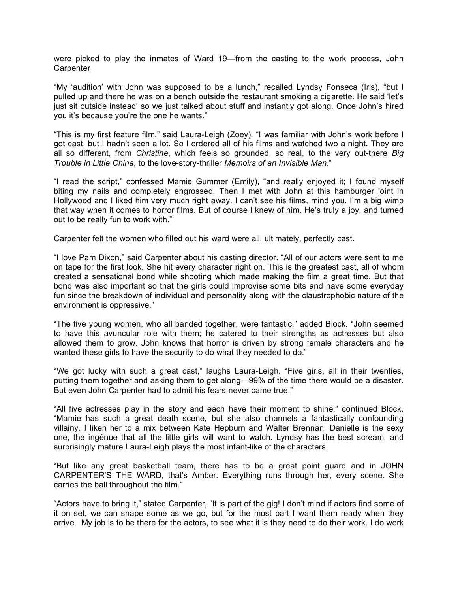were picked to play the inmates of Ward 19—from the casting to the work process, John **Carpenter** 

"My 'audition' with John was supposed to be a lunch," recalled Lyndsy Fonseca (Iris), "but I pulled up and there he was on a bench outside the restaurant smoking a cigarette. He said 'let's just sit outside instead' so we just talked about stuff and instantly got along. Once John's hired you it's because you're the one he wants."

"This is my first feature film," said Laura-Leigh (Zoey). "I was familiar with John's work before I got cast, but I hadn't seen a lot. So I ordered all of his films and watched two a night. They are all so different, from *Christine*, which feels so grounded, so real, to the very out-there *Big Trouble in Little China*, to the love-story-thriller *Memoirs of an Invisible Man*."

"I read the script," confessed Mamie Gummer (Emily), "and really enjoyed it; I found myself biting my nails and completely engrossed. Then I met with John at this hamburger joint in Hollywood and I liked him very much right away. I can't see his films, mind you. I'm a big wimp that way when it comes to horror films. But of course I knew of him. He's truly a joy, and turned out to be really fun to work with."

Carpenter felt the women who filled out his ward were all, ultimately, perfectly cast.

"I love Pam Dixon," said Carpenter about his casting director. "All of our actors were sent to me on tape for the first look. She hit every character right on. This is the greatest cast, all of whom created a sensational bond while shooting which made making the film a great time. But that bond was also important so that the girls could improvise some bits and have some everyday fun since the breakdown of individual and personality along with the claustrophobic nature of the environment is oppressive."

"The five young women, who all banded together, were fantastic," added Block. "John seemed to have this avuncular role with them; he catered to their strengths as actresses but also allowed them to grow. John knows that horror is driven by strong female characters and he wanted these girls to have the security to do what they needed to do."

"We got lucky with such a great cast," laughs Laura-Leigh. "Five girls, all in their twenties, putting them together and asking them to get along—99% of the time there would be a disaster. But even John Carpenter had to admit his fears never came true."

"All five actresses play in the story and each have their moment to shine," continued Block. "Mamie has such a great death scene, but she also channels a fantastically confounding villainy. I liken her to a mix between Kate Hepburn and Walter Brennan. Danielle is the sexy one, the ingénue that all the little girls will want to watch. Lyndsy has the best scream, and surprisingly mature Laura-Leigh plays the most infant-like of the characters.

"But like any great basketball team, there has to be a great point guard and in JOHN CARPENTER'S THE WARD, that's Amber. Everything runs through her, every scene. She carries the ball throughout the film."

"Actors have to bring it," stated Carpenter, "It is part of the gig! I don't mind if actors find some of it on set, we can shape some as we go, but for the most part I want them ready when they arrive. My job is to be there for the actors, to see what it is they need to do their work. I do work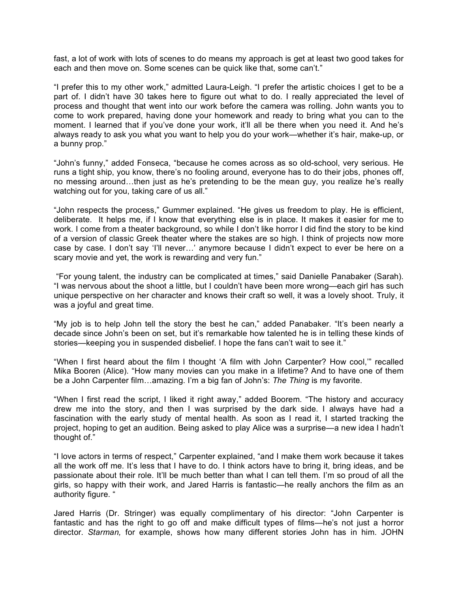fast, a lot of work with lots of scenes to do means my approach is get at least two good takes for each and then move on. Some scenes can be quick like that, some can't."

"I prefer this to my other work," admitted Laura-Leigh. "I prefer the artistic choices I get to be a part of. I didn't have 30 takes here to figure out what to do. I really appreciated the level of process and thought that went into our work before the camera was rolling. John wants you to come to work prepared, having done your homework and ready to bring what you can to the moment. I learned that if you've done your work, it'll all be there when you need it. And he's always ready to ask you what you want to help you do your work—whether it's hair, make-up, or a bunny prop."

"John's funny," added Fonseca, "because he comes across as so old-school, very serious. He runs a tight ship, you know, there's no fooling around, everyone has to do their jobs, phones off, no messing around…then just as he's pretending to be the mean guy, you realize he's really watching out for you, taking care of us all."

"John respects the process," Gummer explained. "He gives us freedom to play. He is efficient, deliberate. It helps me, if I know that everything else is in place. It makes it easier for me to work. I come from a theater background, so while I don't like horror I did find the story to be kind of a version of classic Greek theater where the stakes are so high. I think of projects now more case by case. I don't say 'I'll never…' anymore because I didn't expect to ever be here on a scary movie and yet, the work is rewarding and very fun."

 "For young talent, the industry can be complicated at times," said Danielle Panabaker (Sarah). "I was nervous about the shoot a little, but I couldn't have been more wrong—each girl has such unique perspective on her character and knows their craft so well, it was a lovely shoot. Truly, it was a joyful and great time.

"My job is to help John tell the story the best he can," added Panabaker. "It's been nearly a decade since John's been on set, but it's remarkable how talented he is in telling these kinds of stories—keeping you in suspended disbelief. I hope the fans can't wait to see it."

"When I first heard about the film I thought 'A film with John Carpenter? How cool,'" recalled Mika Booren (Alice). "How many movies can you make in a lifetime? And to have one of them be a John Carpenter film…amazing. I'm a big fan of John's: *The Thing* is my favorite.

"When I first read the script, I liked it right away," added Boorem. "The history and accuracy drew me into the story, and then I was surprised by the dark side. I always have had a fascination with the early study of mental health. As soon as I read it, I started tracking the project, hoping to get an audition. Being asked to play Alice was a surprise—a new idea I hadn't thought of."

"I love actors in terms of respect," Carpenter explained, "and I make them work because it takes all the work off me. It's less that I have to do. I think actors have to bring it, bring ideas, and be passionate about their role. It'll be much better than what I can tell them. I'm so proud of all the girls, so happy with their work, and Jared Harris is fantastic—he really anchors the film as an authority figure. "

Jared Harris (Dr. Stringer) was equally complimentary of his director: "John Carpenter is fantastic and has the right to go off and make difficult types of films—he's not just a horror director. *Starman,* for example, shows how many different stories John has in him. JOHN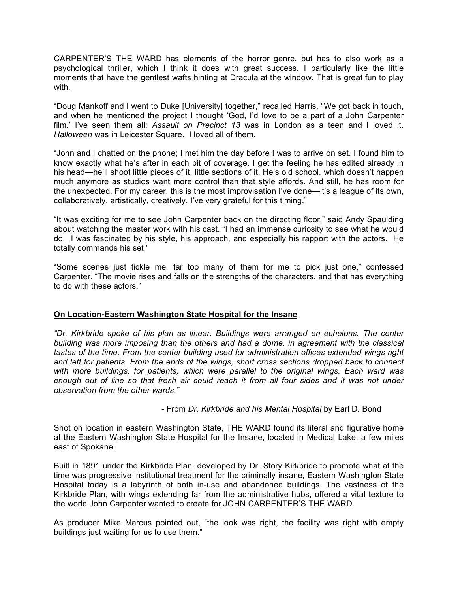CARPENTER'S THE WARD has elements of the horror genre, but has to also work as a psychological thriller, which I think it does with great success. I particularly like the little moments that have the gentlest wafts hinting at Dracula at the window. That is great fun to play with.

"Doug Mankoff and I went to Duke [University] together," recalled Harris. "We got back in touch, and when he mentioned the project I thought 'God, I'd love to be a part of a John Carpenter film.' I've seen them all: *Assault on Precinct 13* was in London as a teen and I loved it. *Halloween* was in Leicester Square. I loved all of them.

"John and I chatted on the phone; I met him the day before I was to arrive on set. I found him to know exactly what he's after in each bit of coverage. I get the feeling he has edited already in his head—he'll shoot little pieces of it, little sections of it. He's old school, which doesn't happen much anymore as studios want more control than that style affords. And still, he has room for the unexpected. For my career, this is the most improvisation I've done—it's a league of its own, collaboratively, artistically, creatively. I've very grateful for this timing."

"It was exciting for me to see John Carpenter back on the directing floor," said Andy Spaulding about watching the master work with his cast. "I had an immense curiosity to see what he would do. I was fascinated by his style, his approach, and especially his rapport with the actors. He totally commands his set."

"Some scenes just tickle me, far too many of them for me to pick just one," confessed Carpenter. "The movie rises and falls on the strengths of the characters, and that has everything to do with these actors."

#### **On Location-Eastern Washington State Hospital for the Insane**

*"Dr. Kirkbride spoke of his plan as linear. Buildings were arranged en échelons. The center building was more imposing than the others and had a dome, in agreement with the classical tastes of the time. From the center building used for administration offices extended wings right and left for patients. From the ends of the wings, short cross sections dropped back to connect with more buildings, for patients, which were parallel to the original wings. Each ward was enough out of line so that fresh air could reach it from all four sides and it was not under observation from the other wards."*

- From *Dr. Kirkbride and his Mental Hospital* by Earl D. Bond

Shot on location in eastern Washington State, THE WARD found its literal and figurative home at the Eastern Washington State Hospital for the Insane, located in Medical Lake, a few miles east of Spokane.

Built in 1891 under the Kirkbride Plan, developed by Dr. Story Kirkbride to promote what at the time was progressive institutional treatment for the criminally insane, Eastern Washington State Hospital today is a labyrinth of both in-use and abandoned buildings. The vastness of the Kirkbride Plan, with wings extending far from the administrative hubs, offered a vital texture to the world John Carpenter wanted to create for JOHN CARPENTER'S THE WARD.

As producer Mike Marcus pointed out, "the look was right, the facility was right with empty buildings just waiting for us to use them."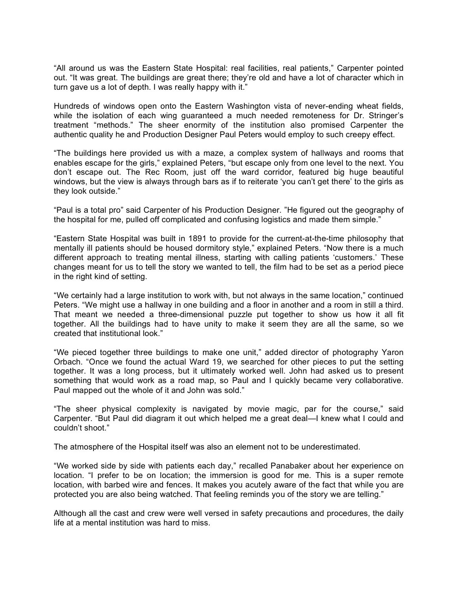"All around us was the Eastern State Hospital: real facilities, real patients," Carpenter pointed out. "It was great. The buildings are great there; they're old and have a lot of character which in turn gave us a lot of depth. I was really happy with it."

Hundreds of windows open onto the Eastern Washington vista of never-ending wheat fields, while the isolation of each wing guaranteed a much needed remoteness for Dr. Stringer's treatment "methods." The sheer enormity of the institution also promised Carpenter the authentic quality he and Production Designer Paul Peters would employ to such creepy effect.

"The buildings here provided us with a maze, a complex system of hallways and rooms that enables escape for the girls," explained Peters, "but escape only from one level to the next. You don't escape out. The Rec Room, just off the ward corridor, featured big huge beautiful windows, but the view is always through bars as if to reiterate 'you can't get there' to the girls as they look outside."

"Paul is a total pro" said Carpenter of his Production Designer. "He figured out the geography of the hospital for me, pulled off complicated and confusing logistics and made them simple."

"Eastern State Hospital was built in 1891 to provide for the current-at-the-time philosophy that mentally ill patients should be housed dormitory style," explained Peters. "Now there is a much different approach to treating mental illness, starting with calling patients 'customers.' These changes meant for us to tell the story we wanted to tell, the film had to be set as a period piece in the right kind of setting.

"We certainly had a large institution to work with, but not always in the same location," continued Peters. "We might use a hallway in one building and a floor in another and a room in still a third. That meant we needed a three-dimensional puzzle put together to show us how it all fit together. All the buildings had to have unity to make it seem they are all the same, so we created that institutional look."

"We pieced together three buildings to make one unit," added director of photography Yaron Orbach. "Once we found the actual Ward 19, we searched for other pieces to put the setting together. It was a long process, but it ultimately worked well. John had asked us to present something that would work as a road map, so Paul and I quickly became very collaborative. Paul mapped out the whole of it and John was sold."

"The sheer physical complexity is navigated by movie magic, par for the course," said Carpenter. "But Paul did diagram it out which helped me a great deal—I knew what I could and couldn't shoot."

The atmosphere of the Hospital itself was also an element not to be underestimated.

"We worked side by side with patients each day," recalled Panabaker about her experience on location. "I prefer to be on location; the immersion is good for me. This is a super remote location, with barbed wire and fences. It makes you acutely aware of the fact that while you are protected you are also being watched. That feeling reminds you of the story we are telling."

Although all the cast and crew were well versed in safety precautions and procedures, the daily life at a mental institution was hard to miss.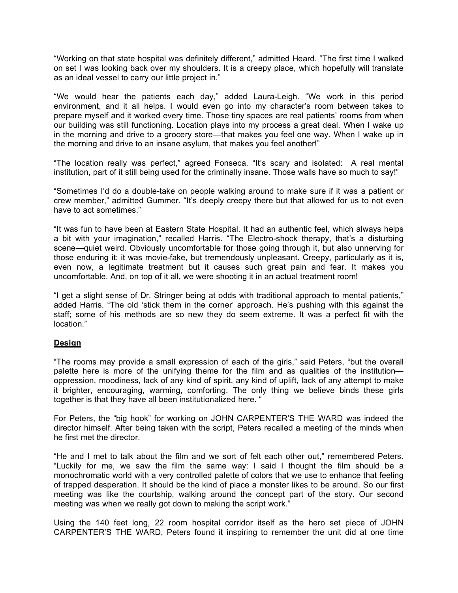"Working on that state hospital was definitely different," admitted Heard. "The first time I walked on set I was looking back over my shoulders. It is a creepy place, which hopefully will translate as an ideal vessel to carry our little project in."

"We would hear the patients each day," added Laura-Leigh. "We work in this period environment, and it all helps. I would even go into my character's room between takes to prepare myself and it worked every time. Those tiny spaces are real patients' rooms from when our building was still functioning. Location plays into my process a great deal. When I wake up in the morning and drive to a grocery store—that makes you feel one way. When I wake up in the morning and drive to an insane asylum, that makes you feel another!"

"The location really was perfect," agreed Fonseca. "It's scary and isolated: A real mental institution, part of it still being used for the criminally insane. Those walls have so much to say!"

"Sometimes I'd do a double-take on people walking around to make sure if it was a patient or crew member," admitted Gummer. "It's deeply creepy there but that allowed for us to not even have to act sometimes."

"It was fun to have been at Eastern State Hospital. It had an authentic feel, which always helps a bit with your imagination," recalled Harris. "The Electro-shock therapy, that's a disturbing scene—quiet weird. Obviously uncomfortable for those going through it, but also unnerving for those enduring it: it was movie-fake, but tremendously unpleasant. Creepy, particularly as it is, even now, a legitimate treatment but it causes such great pain and fear. It makes you uncomfortable. And, on top of it all, we were shooting it in an actual treatment room!

"I get a slight sense of Dr. Stringer being at odds with traditional approach to mental patients," added Harris. "The old 'stick them in the corner' approach. He's pushing with this against the staff; some of his methods are so new they do seem extreme. It was a perfect fit with the location."

#### **Design**

"The rooms may provide a small expression of each of the girls," said Peters, "but the overall palette here is more of the unifying theme for the film and as qualities of the institution oppression, moodiness, lack of any kind of spirit, any kind of uplift, lack of any attempt to make it brighter, encouraging, warming, comforting. The only thing we believe binds these girls together is that they have all been institutionalized here. "

For Peters, the "big hook" for working on JOHN CARPENTER'S THE WARD was indeed the director himself. After being taken with the script, Peters recalled a meeting of the minds when he first met the director.

"He and I met to talk about the film and we sort of felt each other out," remembered Peters. "Luckily for me, we saw the film the same way: I said I thought the film should be a monochromatic world with a very controlled palette of colors that we use to enhance that feeling of trapped desperation. It should be the kind of place a monster likes to be around. So our first meeting was like the courtship, walking around the concept part of the story. Our second meeting was when we really got down to making the script work."

Using the 140 feet long, 22 room hospital corridor itself as the hero set piece of JOHN CARPENTER'S THE WARD, Peters found it inspiring to remember the unit did at one time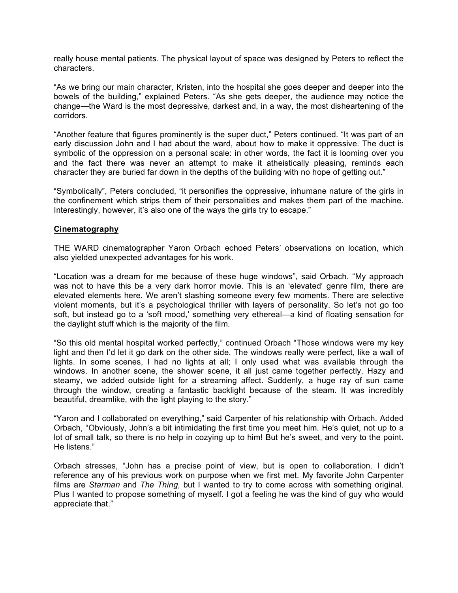really house mental patients. The physical layout of space was designed by Peters to reflect the characters.

"As we bring our main character, Kristen, into the hospital she goes deeper and deeper into the bowels of the building," explained Peters. "As she gets deeper, the audience may notice the change—the Ward is the most depressive, darkest and, in a way, the most disheartening of the corridors.

"Another feature that figures prominently is the super duct," Peters continued. "It was part of an early discussion John and I had about the ward, about how to make it oppressive. The duct is symbolic of the oppression on a personal scale: in other words, the fact it is looming over you and the fact there was never an attempt to make it atheistically pleasing, reminds each character they are buried far down in the depths of the building with no hope of getting out."

"Symbolically", Peters concluded, "it personifies the oppressive, inhumane nature of the girls in the confinement which strips them of their personalities and makes them part of the machine. Interestingly, however, it's also one of the ways the girls try to escape."

#### **Cinematography**

THE WARD cinematographer Yaron Orbach echoed Peters' observations on location, which also yielded unexpected advantages for his work.

"Location was a dream for me because of these huge windows", said Orbach. "My approach was not to have this be a very dark horror movie. This is an 'elevated' genre film, there are elevated elements here. We aren't slashing someone every few moments. There are selective violent moments, but it's a psychological thriller with layers of personality. So let's not go too soft, but instead go to a 'soft mood,' something very ethereal—a kind of floating sensation for the daylight stuff which is the majority of the film.

"So this old mental hospital worked perfectly," continued Orbach "Those windows were my key light and then I'd let it go dark on the other side. The windows really were perfect, like a wall of lights. In some scenes, I had no lights at all; I only used what was available through the windows. In another scene, the shower scene, it all just came together perfectly. Hazy and steamy, we added outside light for a streaming affect. Suddenly, a huge ray of sun came through the window, creating a fantastic backlight because of the steam. It was incredibly beautiful, dreamlike, with the light playing to the story."

"Yaron and I collaborated on everything," said Carpenter of his relationship with Orbach. Added Orbach, "Obviously, John's a bit intimidating the first time you meet him. He's quiet, not up to a lot of small talk, so there is no help in cozying up to him! But he's sweet, and very to the point. He listens."

Orbach stresses, "John has a precise point of view, but is open to collaboration. I didn't reference any of his previous work on purpose when we first met. My favorite John Carpenter films are *Starman* and *The Thing*, but I wanted to try to come across with something original. Plus I wanted to propose something of myself. I got a feeling he was the kind of guy who would appreciate that."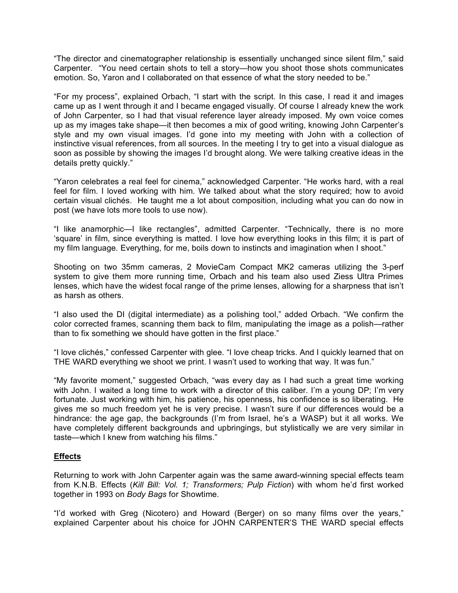"The director and cinematographer relationship is essentially unchanged since silent film," said Carpenter. "You need certain shots to tell a story—how you shoot those shots communicates emotion. So, Yaron and I collaborated on that essence of what the story needed to be."

"For my process", explained Orbach, "I start with the script. In this case, I read it and images came up as I went through it and I became engaged visually. Of course I already knew the work of John Carpenter, so I had that visual reference layer already imposed. My own voice comes up as my images take shape—it then becomes a mix of good writing, knowing John Carpenter's style and my own visual images. I'd gone into my meeting with John with a collection of instinctive visual references, from all sources. In the meeting I try to get into a visual dialogue as soon as possible by showing the images I'd brought along. We were talking creative ideas in the details pretty quickly."

"Yaron celebrates a real feel for cinema," acknowledged Carpenter. "He works hard, with a real feel for film. I loved working with him. We talked about what the story required; how to avoid certain visual clichés. He taught me a lot about composition, including what you can do now in post (we have lots more tools to use now).

"I like anamorphic—I like rectangles", admitted Carpenter. "Technically, there is no more 'square' in film, since everything is matted. I love how everything looks in this film; it is part of my film language. Everything, for me, boils down to instincts and imagination when I shoot."

Shooting on two 35mm cameras, 2 MovieCam Compact MK2 cameras utilizing the 3-perf system to give them more running time, Orbach and his team also used Ziess Ultra Primes lenses, which have the widest focal range of the prime lenses, allowing for a sharpness that isn't as harsh as others.

"I also used the DI (digital intermediate) as a polishing tool," added Orbach. "We confirm the color corrected frames, scanning them back to film, manipulating the image as a polish—rather than to fix something we should have gotten in the first place."

"I love clichés," confessed Carpenter with glee. "I love cheap tricks. And I quickly learned that on THE WARD everything we shoot we print. I wasn't used to working that way. It was fun."

"My favorite moment," suggested Orbach, "was every day as I had such a great time working with John. I waited a long time to work with a director of this caliber. I'm a young DP; I'm very fortunate. Just working with him, his patience, his openness, his confidence is so liberating. He gives me so much freedom yet he is very precise. I wasn't sure if our differences would be a hindrance: the age gap, the backgrounds (I'm from Israel, he's a WASP) but it all works. We have completely different backgrounds and upbringings, but stylistically we are very similar in taste—which I knew from watching his films."

#### **Effects**

Returning to work with John Carpenter again was the same award-winning special effects team from K.N.B. Effects (*Kill Bill: Vol. 1; Transformers; Pulp Fiction*) with whom he'd first worked together in 1993 on *Body Bags* for Showtime.

"I'd worked with Greg (Nicotero) and Howard (Berger) on so many films over the years," explained Carpenter about his choice for JOHN CARPENTER'S THE WARD special effects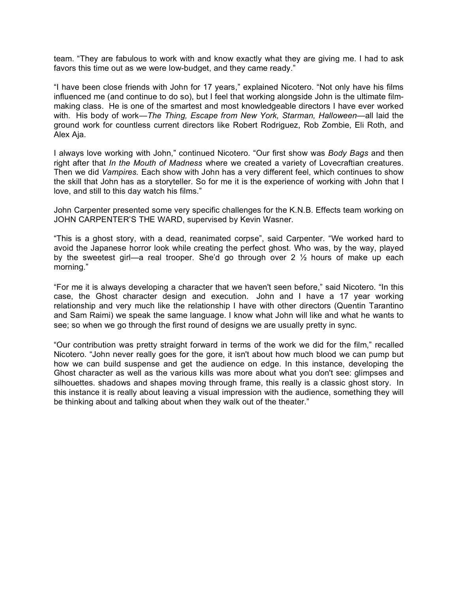team. "They are fabulous to work with and know exactly what they are giving me. I had to ask favors this time out as we were low-budget, and they came ready."

"I have been close friends with John for 17 years," explained Nicotero. "Not only have his films influenced me (and continue to do so), but I feel that working alongside John is the ultimate filmmaking class. He is one of the smartest and most knowledgeable directors I have ever worked with. His body of work—*The Thing, Escape from New York, Starman, Halloween*—all laid the ground work for countless current directors like Robert Rodriguez, Rob Zombie, Eli Roth, and Alex Aja.

I always love working with John," continued Nicotero. "Our first show was *Body Bags* and then right after that *In the Mouth of Madness* where we created a variety of Lovecraftian creatures. Then we did *Vampires.* Each show with John has a very different feel, which continues to show the skill that John has as a storyteller. So for me it is the experience of working with John that I love, and still to this day watch his films."

John Carpenter presented some very specific challenges for the K.N.B. Effects team working on JOHN CARPENTER'S THE WARD, supervised by Kevin Wasner.

"This is a ghost story, with a dead, reanimated corpse", said Carpenter. "We worked hard to avoid the Japanese horror look while creating the perfect ghost. Who was, by the way, played by the sweetest girl—a real trooper. She'd go through over 2  $\frac{1}{2}$  hours of make up each morning."

"For me it is always developing a character that we haven't seen before," said Nicotero. "In this case, the Ghost character design and execution. John and I have a 17 year working relationship and very much like the relationship I have with other directors (Quentin Tarantino and Sam Raimi) we speak the same language. I know what John will like and what he wants to see; so when we go through the first round of designs we are usually pretty in sync.

"Our contribution was pretty straight forward in terms of the work we did for the film," recalled Nicotero. "John never really goes for the gore, it isn't about how much blood we can pump but how we can build suspense and get the audience on edge. In this instance, developing the Ghost character as well as the various kills was more about what you don't see: glimpses and silhouettes. shadows and shapes moving through frame, this really is a classic ghost story. In this instance it is really about leaving a visual impression with the audience, something they will be thinking about and talking about when they walk out of the theater."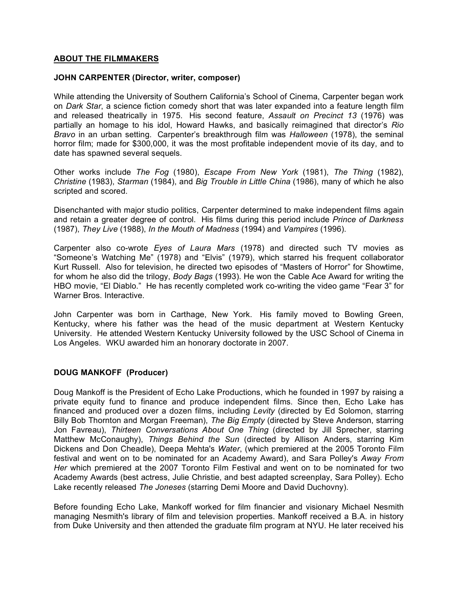#### **ABOUT THE FILMMAKERS**

#### **JOHN CARPENTER (Director, writer, composer)**

While attending the University of Southern California's School of Cinema, Carpenter began work on *Dark Star*, a science fiction comedy short that was later expanded into a feature length film and released theatrically in 1975. His second feature, *Assault on Precinct 13* (1976) was partially an homage to his idol, Howard Hawks, and basically reimagined that director's *Rio Bravo* in an urban setting. Carpenter's breakthrough film was *Halloween* (1978), the seminal horror film; made for \$300,000, it was the most profitable independent movie of its day, and to date has spawned several sequels.

Other works include *The Fog* (1980), *Escape From New York* (1981), *The Thing* (1982), *Christine* (1983), *Starman* (1984), and *Big Trouble in Little China* (1986), many of which he also scripted and scored.

Disenchanted with major studio politics, Carpenter determined to make independent films again and retain a greater degree of control. His films during this period include *Prince of Darkness*  (1987), *They Live* (1988), *In the Mouth of Madness* (1994) and *Vampires* (1996).

Carpenter also co-wrote *Eyes of Laura Mars* (1978) and directed such TV movies as "Someone's Watching Me" (1978) and "Elvis" (1979), which starred his frequent collaborator Kurt Russell. Also for television, he directed two episodes of "Masters of Horror" for Showtime, for whom he also did the trilogy, *Body Bags* (1993). He won the Cable Ace Award for writing the HBO movie, "El Diablo." He has recently completed work co-writing the video game "Fear 3" for Warner Bros. Interactive.

John Carpenter was born in Carthage, New York. His family moved to Bowling Green, Kentucky, where his father was the head of the music department at Western Kentucky University. He attended Western Kentucky University followed by the USC School of Cinema in Los Angeles. WKU awarded him an honorary doctorate in 2007.

#### **DOUG MANKOFF (Producer)**

Doug Mankoff is the President of Echo Lake Productions, which he founded in 1997 by raising a private equity fund to finance and produce independent films. Since then, Echo Lake has financed and produced over a dozen films, including *Levity* (directed by Ed Solomon, starring Billy Bob Thornton and Morgan Freeman), *The Big Empty* (directed by Steve Anderson, starring Jon Favreau), *Thirteen Conversations About One Thing* (directed by Jill Sprecher, starring Matthew McConaughy), *Things Behind the Sun* (directed by Allison Anders, starring Kim Dickens and Don Cheadle), Deepa Mehta's *Water*, (which premiered at the 2005 Toronto Film festival and went on to be nominated for an Academy Award), and Sara Polley's *Away From Her* which premiered at the 2007 Toronto Film Festival and went on to be nominated for two Academy Awards (best actress, Julie Christie, and best adapted screenplay, Sara Polley). Echo Lake recently released *The Joneses* (starring Demi Moore and David Duchovny).

Before founding Echo Lake, Mankoff worked for film financier and visionary Michael Nesmith managing Nesmith's library of film and television properties. Mankoff received a B.A. in history from Duke University and then attended the graduate film program at NYU. He later received his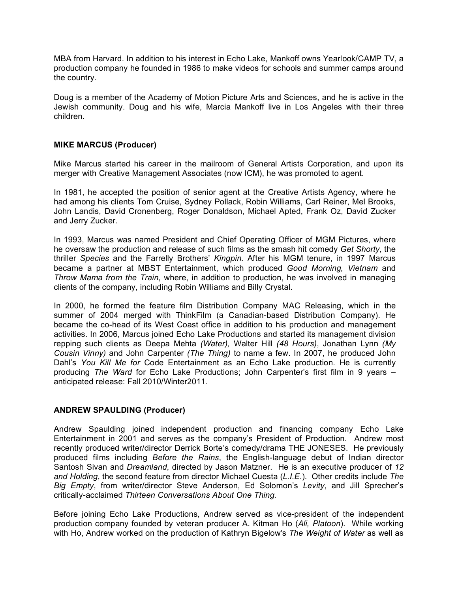MBA from Harvard. In addition to his interest in Echo Lake, Mankoff owns Yearlook/CAMP TV, a production company he founded in 1986 to make videos for schools and summer camps around the country.

Doug is a member of the Academy of Motion Picture Arts and Sciences, and he is active in the Jewish community. Doug and his wife, Marcia Mankoff live in Los Angeles with their three children.

#### **MIKE MARCUS (Producer)**

Mike Marcus started his career in the mailroom of General Artists Corporation, and upon its merger with Creative Management Associates (now ICM), he was promoted to agent.

In 1981, he accepted the position of senior agent at the Creative Artists Agency, where he had among his clients Tom Cruise, Sydney Pollack, Robin Williams, Carl Reiner, Mel Brooks, John Landis, David Cronenberg, Roger Donaldson, Michael Apted, Frank Oz, David Zucker and Jerry Zucker.

In 1993, Marcus was named President and Chief Operating Officer of MGM Pictures, where he oversaw the production and release of such films as the smash hit comedy *Get Shorty*, the thriller *Species* and the Farrelly Brothers' *Kingpin.* After his MGM tenure, in 1997 Marcus became a partner at MBST Entertainment, which produced *Good Morning, Vietnam* and *Throw Mama from the Train*, where, in addition to production, he was involved in managing clients of the company, including Robin Williams and Billy Crystal.

In 2000, he formed the feature film Distribution Company MAC Releasing, which in the summer of 2004 merged with ThinkFilm (a Canadian-based Distribution Company). He became the co-head of its West Coast office in addition to his production and management activities. In 2006, Marcus joined Echo Lake Productions and started its management division repping such clients as Deepa Mehta *(Water),* Walter Hill *(48 Hours)*, Jonathan Lynn *(My Cousin Vinny)* and John Carpenter *(The Thing)* to name a few. In 2007, he produced John Dahl's *You Kill Me for* Code Entertainment as an Echo Lake production. He is currently producing *The Ward* for Echo Lake Productions; John Carpenter's first film in 9 years – anticipated release: Fall 2010/Winter2011.

#### **ANDREW SPAULDING (Producer)**

Andrew Spaulding joined independent production and financing company Echo Lake Entertainment in 2001 and serves as the company's President of Production. Andrew most recently produced writer/director Derrick Borte's comedy/drama THE JONESES. He previously produced films including *Before the Rains*, the English-language debut of Indian director Santosh Sivan and *Dreamland*, directed by Jason Matzner. He is an executive producer of *12 and Holding*, the second feature from director Michael Cuesta (*L.I.E*.). Other credits include *The Big Empty*, from writer/director Steve Anderson, Ed Solomon's *Levity*, and Jill Sprecher's critically-acclaimed *Thirteen Conversations About One Thing.*

Before joining Echo Lake Productions, Andrew served as vice-president of the independent production company founded by veteran producer A. Kitman Ho (*Ali, Platoon*). While working with Ho, Andrew worked on the production of Kathryn Bigelow's *The Weight of Water* as well as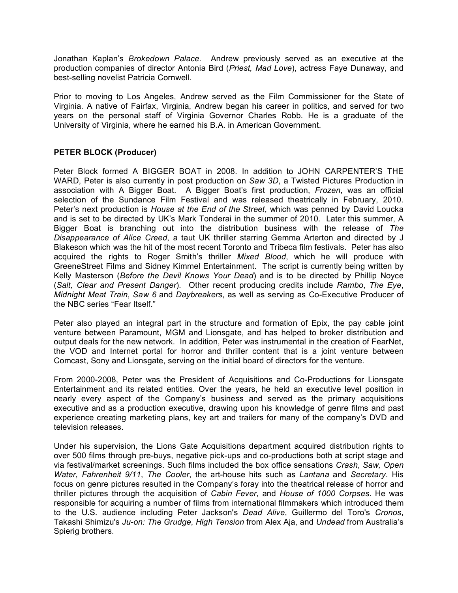Jonathan Kaplan's *Brokedown Palace*. Andrew previously served as an executive at the production companies of director Antonia Bird (*Priest, Mad Love*), actress Faye Dunaway, and best-selling novelist Patricia Cornwell.

Prior to moving to Los Angeles, Andrew served as the Film Commissioner for the State of Virginia. A native of Fairfax, Virginia, Andrew began his career in politics, and served for two years on the personal staff of Virginia Governor Charles Robb. He is a graduate of the University of Virginia, where he earned his B.A. in American Government.

#### **PETER BLOCK (Producer)**

Peter Block formed A BIGGER BOAT in 2008. In addition to JOHN CARPENTER'S THE WARD, Peter is also currently in post production on *Saw 3D*, a Twisted Pictures Production in association with A Bigger Boat. A Bigger Boat's first production, *Frozen*, was an official selection of the Sundance Film Festival and was released theatrically in February, 2010. Peter's next production is *House at the End of the Street*, which was penned by David Loucka and is set to be directed by UK's Mark Tonderai in the summer of 2010. Later this summer, A Bigger Boat is branching out into the distribution business with the release of *The Disappearance of Alice Creed*, a taut UK thriller starring Gemma Arterton and directed by J Blakeson which was the hit of the most recent Toronto and Tribeca film festivals. Peter has also acquired the rights to Roger Smith's thriller *Mixed Blood*, which he will produce with GreeneStreet Films and Sidney Kimmel Entertainment. The script is currently being written by Kelly Masterson (*Before the Devil Knows Your Dead*) and is to be directed by Phillip Noyce (*Salt, Clear and Present Danger*). Other recent producing credits include *Rambo*, *The Eye*, *Midnight Meat Train*, *Saw 6* and *Daybreakers*, as well as serving as Co-Executive Producer of the NBC series "Fear Itself."

Peter also played an integral part in the structure and formation of Epix, the pay cable joint venture between Paramount, MGM and Lionsgate, and has helped to broker distribution and output deals for the new network. In addition, Peter was instrumental in the creation of FearNet, the VOD and Internet portal for horror and thriller content that is a joint venture between Comcast, Sony and Lionsgate, serving on the initial board of directors for the venture.

From 2000-2008, Peter was the President of Acquisitions and Co-Productions for Lionsgate Entertainment and its related entities. Over the years, he held an executive level position in nearly every aspect of the Company's business and served as the primary acquisitions executive and as a production executive, drawing upon his knowledge of genre films and past experience creating marketing plans, key art and trailers for many of the company's DVD and television releases.

Under his supervision, the Lions Gate Acquisitions department acquired distribution rights to over 500 films through pre-buys, negative pick-ups and co-productions both at script stage and via festival/market screenings. Such films included the box office sensations *Crash*, *Saw, Open Water*, *Fahrenheit 9/11*, *The Cooler*, the art-house hits such as *Lantana* and *Secretary*. His focus on genre pictures resulted in the Company's foray into the theatrical release of horror and thriller pictures through the acquisition of *Cabin Fever*, and *House of 1000 Corpses*. He was responsible for acquiring a number of films from international filmmakers which introduced them to the U.S. audience including Peter Jackson's *Dead Alive*, Guillermo del Toro's *Cronos*, Takashi Shimizu's *Ju-on: The Grudge*, *High Tension* from Alex Aja, and *Undead* from Australia's Spierig brothers.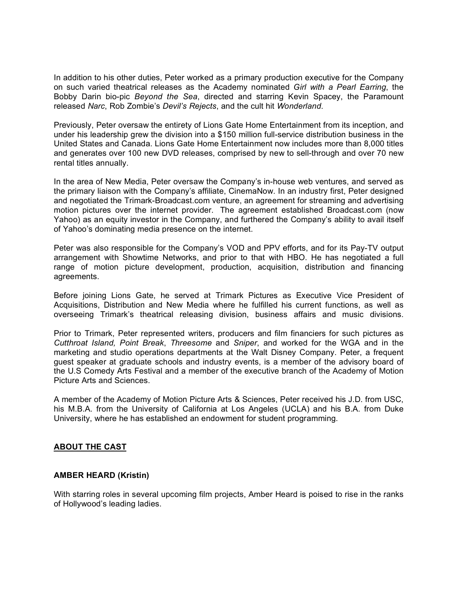In addition to his other duties, Peter worked as a primary production executive for the Company on such varied theatrical releases as the Academy nominated *Girl with a Pearl Earring*, the Bobby Darin bio-pic *Beyond the Sea*, directed and starring Kevin Spacey, the Paramount released *Narc*, Rob Zombie's *Devil's Rejects*, and the cult hit *Wonderland*.

Previously, Peter oversaw the entirety of Lions Gate Home Entertainment from its inception, and under his leadership grew the division into a \$150 million full-service distribution business in the United States and Canada. Lions Gate Home Entertainment now includes more than 8,000 titles and generates over 100 new DVD releases, comprised by new to sell-through and over 70 new rental titles annually.

In the area of New Media, Peter oversaw the Company's in-house web ventures, and served as the primary liaison with the Company's affiliate, CinemaNow. In an industry first, Peter designed and negotiated the Trimark-Broadcast.com venture, an agreement for streaming and advertising motion pictures over the internet provider. The agreement established Broadcast.com (now Yahoo) as an equity investor in the Company, and furthered the Company's ability to avail itself of Yahoo's dominating media presence on the internet.

Peter was also responsible for the Company's VOD and PPV efforts, and for its Pay-TV output arrangement with Showtime Networks, and prior to that with HBO. He has negotiated a full range of motion picture development, production, acquisition, distribution and financing agreements.

Before joining Lions Gate, he served at Trimark Pictures as Executive Vice President of Acquisitions, Distribution and New Media where he fulfilled his current functions, as well as overseeing Trimark's theatrical releasing division, business affairs and music divisions.

Prior to Trimark, Peter represented writers, producers and film financiers for such pictures as *Cutthroat Island, Point Break*, *Threesome* and *Sniper*, and worked for the WGA and in the marketing and studio operations departments at the Walt Disney Company. Peter, a frequent guest speaker at graduate schools and industry events, is a member of the advisory board of the U.S Comedy Arts Festival and a member of the executive branch of the Academy of Motion Picture Arts and Sciences.

A member of the Academy of Motion Picture Arts & Sciences, Peter received his J.D. from USC, his M.B.A. from the University of California at Los Angeles (UCLA) and his B.A. from Duke University, where he has established an endowment for student programming.

#### **ABOUT THE CAST**

#### **AMBER HEARD (Kristin)**

With starring roles in several upcoming film projects, Amber Heard is poised to rise in the ranks of Hollywood's leading ladies.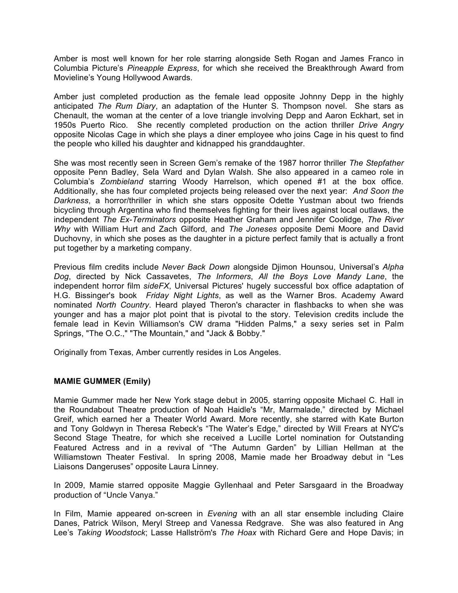Amber is most well known for her role starring alongside Seth Rogan and James Franco in Columbia Picture's *Pineapple Express*, for which she received the Breakthrough Award from Movieline's Young Hollywood Awards.

Amber just completed production as the female lead opposite Johnny Depp in the highly anticipated *The Rum Diary*, an adaptation of the Hunter S. Thompson novel. She stars as Chenault, the woman at the center of a love triangle involving Depp and Aaron Eckhart, set in 1950s Puerto Rico. She recently completed production on the action thriller *Drive Angry* opposite Nicolas Cage in which she plays a diner employee who joins Cage in his quest to find the people who killed his daughter and kidnapped his granddaughter.

She was most recently seen in Screen Gem's remake of the 1987 horror thriller *The Stepfather* opposite Penn Badley, Sela Ward and Dylan Walsh. She also appeared in a cameo role in Columbia's *Zombieland* starring Woody Harrelson, which opened #1 at the box office. Additionally, she has four completed projects being released over the next year: *And Soon the Darkness*, a horror/thriller in which she stars opposite Odette Yustman about two friends bicycling through Argentina who find themselves fighting for their lives against local outlaws, the independent *The Ex-Terminators* opposite Heather Graham and Jennifer Coolidge, *The River Why* with William Hurt and Zach Gilford, and *The Joneses* opposite Demi Moore and David Duchovny, in which she poses as the daughter in a picture perfect family that is actually a front put together by a marketing company.

Previous film credits include *Never Back Down* alongside Djimon Hounsou, Universal's *Alpha Dog*, directed by Nick Cassavetes, *The Informers*, *All the Boys Love Mandy Lane*, the independent horror film *sideFX*, Universal Pictures' hugely successful box office adaptation of H.G. Bissinger's book *Friday Night Lights*, as well as the Warner Bros. Academy Award nominated *North Country*. Heard played Theron's character in flashbacks to when she was younger and has a major plot point that is pivotal to the story. Television credits include the female lead in Kevin Williamson's CW drama "Hidden Palms," a sexy series set in Palm Springs, "The O.C.," "The Mountain," and "Jack & Bobby."

Originally from Texas, Amber currently resides in Los Angeles.

#### **MAMIE GUMMER (Emily)**

Mamie Gummer made her New York stage debut in 2005, starring opposite Michael C. Hall in the Roundabout Theatre production of Noah Haidle's "Mr, Marmalade," directed by Michael Greif, which earned her a Theater World Award. More recently, she starred with Kate Burton and Tony Goldwyn in Theresa Rebeck's "The Water's Edge," directed by Will Frears at NYC's Second Stage Theatre, for which she received a Lucille Lortel nomination for Outstanding Featured Actress and in a revival of "The Autumn Garden" by Lillian Hellman at the Williamstown Theater Festival. In spring 2008, Mamie made her Broadway debut in "Les Liaisons Dangeruses" opposite Laura Linney.

In 2009, Mamie starred opposite Maggie Gyllenhaal and Peter Sarsgaard in the Broadway production of "Uncle Vanya."

In Film, Mamie appeared on-screen in *Evening* with an all star ensemble including Claire Danes, Patrick Wilson, Meryl Streep and Vanessa Redgrave. She was also featured in Ang Lee's *Taking Woodstock*; Lasse Hallström's *The Hoax* with Richard Gere and Hope Davis; in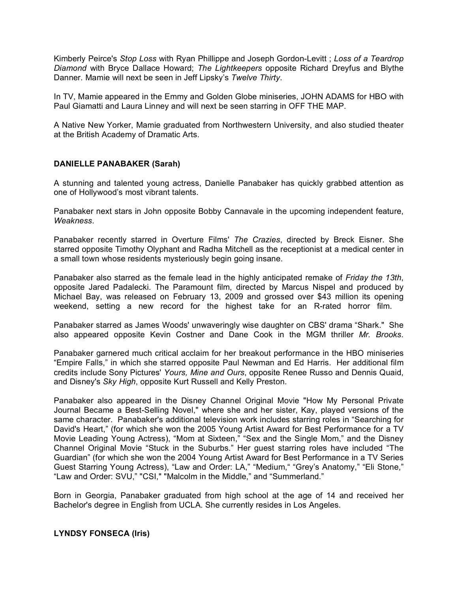Kimberly Peirce's *Stop Loss* with Ryan Phillippe and Joseph Gordon-Levitt ; *Loss of a Teardrop Diamond* with Bryce Dallace Howard; *The Lightkeepers* opposite Richard Dreyfus and Blythe Danner. Mamie will next be seen in Jeff Lipsky's *Twelve Thirty*.

In TV, Mamie appeared in the Emmy and Golden Globe miniseries, JOHN ADAMS for HBO with Paul Giamatti and Laura Linney and will next be seen starring in OFF THE MAP.

A Native New Yorker, Mamie graduated from Northwestern University, and also studied theater at the British Academy of Dramatic Arts.

#### **DANIELLE PANABAKER (Sarah)**

A stunning and talented young actress, Danielle Panabaker has quickly grabbed attention as one of Hollywood's most vibrant talents.

Panabaker next stars in John opposite Bobby Cannavale in the upcoming independent feature, *Weakness*.

Panabaker recently starred in Overture Films' *The Crazies*, directed by Breck Eisner. She starred opposite Timothy Olyphant and Radha Mitchell as the receptionist at a medical center in a small town whose residents mysteriously begin going insane.

Panabaker also starred as the female lead in the highly anticipated remake of *Friday the 13th*, opposite Jared Padalecki. The Paramount film, directed by Marcus Nispel and produced by Michael Bay, was released on February 13, 2009 and grossed over \$43 million its opening weekend, setting a new record for the highest take for an R-rated horror film.

Panabaker starred as James Woods' unwaveringly wise daughter on CBS' drama "Shark." She also appeared opposite Kevin Costner and Dane Cook in the MGM thriller *Mr. Brooks*.

Panabaker garnered much critical acclaim for her breakout performance in the HBO miniseries "Empire Falls," in which she starred opposite Paul Newman and Ed Harris. Her additional film credits include Sony Pictures' *Yours, Mine and Ours*, opposite Renee Russo and Dennis Quaid, and Disney's *Sky High*, opposite Kurt Russell and Kelly Preston.

Panabaker also appeared in the Disney Channel Original Movie "How My Personal Private Journal Became a Best-Selling Novel," where she and her sister, Kay, played versions of the same character. Panabaker's additional television work includes starring roles in "Searching for David's Heart," (for which she won the 2005 Young Artist Award for Best Performance for a TV Movie Leading Young Actress), "Mom at Sixteen," "Sex and the Single Mom," and the Disney Channel Original Movie "Stuck in the Suburbs." Her guest starring roles have included "The Guardian" (for which she won the 2004 Young Artist Award for Best Performance in a TV Series Guest Starring Young Actress), "Law and Order: LA," "Medium," "Grey's Anatomy," "Eli Stone," "Law and Order: SVU," "CSI," "Malcolm in the Middle," and "Summerland."

Born in Georgia, Panabaker graduated from high school at the age of 14 and received her Bachelor's degree in English from UCLA. She currently resides in Los Angeles.

#### **LYNDSY FONSECA (Iris)**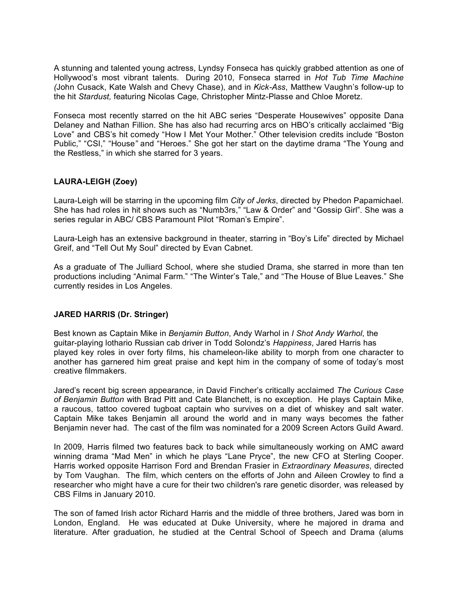A stunning and talented young actress, Lyndsy Fonseca has quickly grabbed attention as one of Hollywood's most vibrant talents. During 2010, Fonseca starred in *Hot Tub Time Machine (*John Cusack, Kate Walsh and Chevy Chase), and in *Kick-Ass*, Matthew Vaughn's follow-up to the hit *Stardust,* featuring Nicolas Cage, Christopher Mintz-Plasse and Chloe Moretz.

Fonseca most recently starred on the hit ABC series "Desperate Housewives" opposite Dana Delaney and Nathan Fillion. She has also had recurring arcs on HBO's critically acclaimed "Big Love" and CBS's hit comedy "How I Met Your Mother." Other television credits include "Boston Public," "CSI," "House*"* and "Heroes." She got her start on the daytime drama "The Young and the Restless," in which she starred for 3 years.

#### **LAURA-LEIGH (Zoey)**

Laura-Leigh will be starring in the upcoming film *City of Jerks*, directed by Phedon Papamichael. She has had roles in hit shows such as "Numb3rs," "Law & Order" and "Gossip Girl". She was a series regular in ABC/ CBS Paramount Pilot "Roman's Empire".

Laura-Leigh has an extensive background in theater, starring in "Boy's Life" directed by Michael Greif, and "Tell Out My Soul" directed by Evan Cabnet.

As a graduate of The Julliard School, where she studied Drama, she starred in more than ten productions including "Animal Farm." "The Winter's Tale," and "The House of Blue Leaves." She currently resides in Los Angeles.

#### **JARED HARRIS (Dr. Stringer)**

Best known as Captain Mike in *Benjamin Button*, Andy Warhol in *I Shot Andy Warhol*, the guitar-playing lothario Russian cab driver in Todd Solondz's *Happiness*, Jared Harris has played key roles in over forty films, his chameleon-like ability to morph from one character to another has garnered him great praise and kept him in the company of some of today's most creative filmmakers.

Jared's recent big screen appearance, in David Fincher's critically acclaimed *The Curious Case of Benjamin Button* with Brad Pitt and Cate Blanchett, is no exception. He plays Captain Mike, a raucous, tattoo covered tugboat captain who survives on a diet of whiskey and salt water. Captain Mike takes Benjamin all around the world and in many ways becomes the father Benjamin never had. The cast of the film was nominated for a 2009 Screen Actors Guild Award.

In 2009, Harris filmed two features back to back while simultaneously working on AMC award winning drama "Mad Men" in which he plays "Lane Pryce", the new CFO at Sterling Cooper. Harris worked opposite Harrison Ford and Brendan Frasier in *Extraordinary Measures*, directed by Tom Vaughan. The film, which centers on the efforts of John and Aileen Crowley to find a researcher who might have a cure for their two children's rare genetic disorder, was released by CBS Films in January 2010.

The son of famed Irish actor Richard Harris and the middle of three brothers, Jared was born in London, England. He was educated at Duke University, where he majored in drama and literature. After graduation, he studied at the Central School of Speech and Drama (alums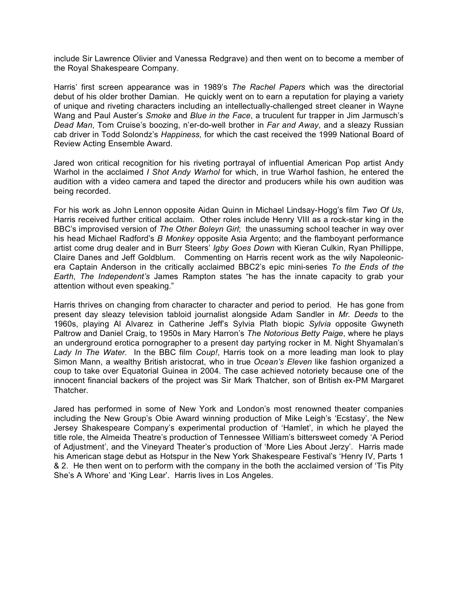include Sir Lawrence Olivier and Vanessa Redgrave) and then went on to become a member of the Royal Shakespeare Company.

Harris' first screen appearance was in 1989's *The Rachel Papers* which was the directorial debut of his older brother Damian. He quickly went on to earn a reputation for playing a variety of unique and riveting characters including an intellectually-challenged street cleaner in Wayne Wang and Paul Auster's *Smoke* and *Blue in the Face*, a truculent fur trapper in Jim Jarmusch's *Dead Man*, Tom Cruise's boozing, n'er-do-well brother in *Far and Away*, and a sleazy Russian cab driver in Todd Solondz's *Happiness,* for which the cast received the 1999 National Board of Review Acting Ensemble Award.

Jared won critical recognition for his riveting portrayal of influential American Pop artist Andy Warhol in the acclaimed *I Shot Andy Warhol* for which, in true Warhol fashion, he entered the audition with a video camera and taped the director and producers while his own audition was being recorded.

For his work as John Lennon opposite Aidan Quinn in Michael Lindsay-Hogg's film *Two Of Us*, Harris received further critical acclaim. Other roles include Henry VIII as a rock-star king in the BBC's improvised version of *The Other Boleyn Girl*; the unassuming school teacher in way over his head Michael Radford's *B Monkey* opposite Asia Argento; and the flamboyant performance artist come drug dealer and in Burr Steers' *Igby Goes Down* with Kieran Culkin, Ryan Phillippe, Claire Danes and Jeff Goldblum. Commenting on Harris recent work as the wily Napoleonicera Captain Anderson in the critically acclaimed BBC2's epic mini-series *To the Ends of the Earth*, *The Independent's* James Rampton states "he has the innate capacity to grab your attention without even speaking."

Harris thrives on changing from character to character and period to period. He has gone from present day sleazy television tabloid journalist alongside Adam Sandler in *Mr. Deeds* to the 1960s, playing Al Alvarez in Catherine Jeff's Sylvia Plath biopic *Sylvia* opposite Gwyneth Paltrow and Daniel Craig, to 1950s in Mary Harron's *The Notorious Betty Paige*, where he plays an underground erotica pornographer to a present day partying rocker in M. Night Shyamalan's *Lady In The Water*. In the BBC film *Coup!*, Harris took on a more leading man look to play Simon Mann, a wealthy British aristocrat, who in true *Ocean's Eleven* like fashion organized a coup to take over Equatorial Guinea in 2004. The case achieved notoriety because one of the innocent financial backers of the project was Sir Mark Thatcher, son of British ex-PM Margaret Thatcher.

Jared has performed in some of New York and London's most renowned theater companies including the New Group's Obie Award winning production of Mike Leigh's 'Ecstasy', the New Jersey Shakespeare Company's experimental production of 'Hamlet', in which he played the title role, the Almeida Theatre's production of Tennessee William's bittersweet comedy 'A Period of Adjustment', and the Vineyard Theater's production of 'More Lies About Jerzy'. Harris made his American stage debut as Hotspur in the New York Shakespeare Festival's 'Henry IV, Parts 1 & 2. He then went on to perform with the company in the both the acclaimed version of 'Tis Pity She's A Whore' and 'King Lear'. Harris lives in Los Angeles.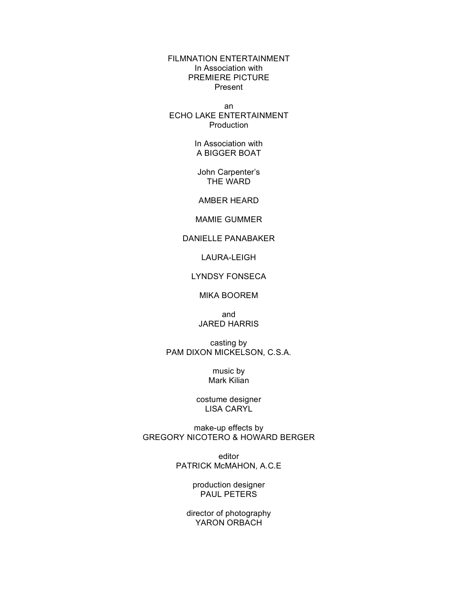#### FILMNATION ENTERTAINMENT In Association with PREMIERE PICTURE Present

an ECHO LAKE ENTERTAINMENT Production

> In Association with A BIGGER BOAT

John Carpenter's THE WARD

AMBER HEARD

MAMIE GUMMER

#### DANIELLE PANABAKER

LAURA-LEIGH

LYNDSY FONSECA

MIKA BOOREM

and JARED HARRIS

casting by PAM DIXON MICKELSON, C.S.A.

> music by Mark Kilian

costume designer LISA CARYL

make-up effects by GREGORY NICOTERO & HOWARD BERGER

> editor PATRICK McMAHON, A.C.E

> > production designer PAUL PETERS

director of photography YARON ORBACH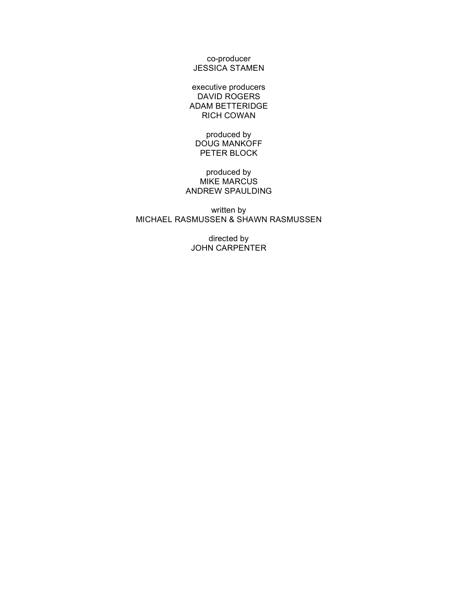co-producer JESSICA STAMEN

executive producers DAVID ROGERS ADAM BETTERIDGE RICH COWAN

produced by DOUG MANKOFF PETER BLOCK

produced by MIKE MARCUS ANDREW SPAULDING

written by MICHAEL RASMUSSEN & SHAWN RASMUSSEN

> directed by JOHN CARPENTER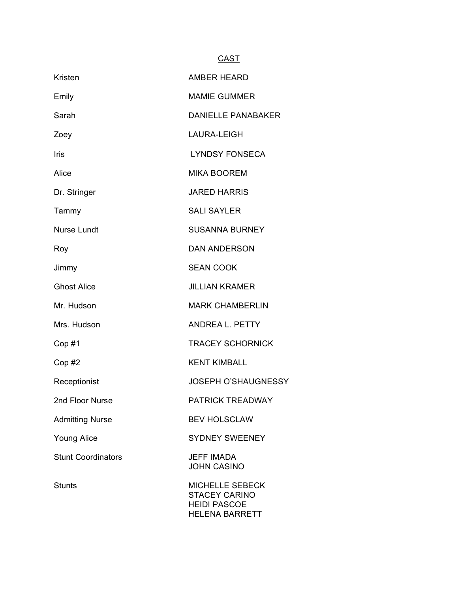### **CAST**

| Kristen                   | <b>AMBER HEARD</b>                                                                             |
|---------------------------|------------------------------------------------------------------------------------------------|
| Emily                     | <b>MAMIE GUMMER</b>                                                                            |
| Sarah                     | <b>DANIELLE PANABAKER</b>                                                                      |
| Zoey                      | LAURA-LEIGH                                                                                    |
| Iris                      | <b>LYNDSY FONSECA</b>                                                                          |
| Alice                     | <b>MIKA BOOREM</b>                                                                             |
| Dr. Stringer              | <b>JARED HARRIS</b>                                                                            |
| Tammy                     | <b>SALI SAYLER</b>                                                                             |
| <b>Nurse Lundt</b>        | <b>SUSANNA BURNEY</b>                                                                          |
| Roy                       | <b>DAN ANDERSON</b>                                                                            |
| Jimmy                     | <b>SEAN COOK</b>                                                                               |
| <b>Ghost Alice</b>        | <b>JILLIAN KRAMER</b>                                                                          |
| Mr. Hudson                | <b>MARK CHAMBERLIN</b>                                                                         |
| Mrs. Hudson               | <b>ANDREA L. PETTY</b>                                                                         |
| Cop#1                     | <b>TRACEY SCHORNICK</b>                                                                        |
| Cop#2                     | <b>KENT KIMBALL</b>                                                                            |
| Receptionist              | <b>JOSEPH O'SHAUGNESSY</b>                                                                     |
| 2nd Floor Nurse           | PATRICK TREADWAY                                                                               |
| <b>Admitting Nurse</b>    | <b>BEV HOLSCLAW</b>                                                                            |
| <b>Young Alice</b>        | <b>SYDNEY SWEENEY</b>                                                                          |
| <b>Stunt Coordinators</b> | <b>JEFF IMADA</b><br><b>JOHN CASINO</b>                                                        |
| <b>Stunts</b>             | <b>MICHELLE SEBECK</b><br><b>STACEY CARINO</b><br><b>HEIDI PASCOE</b><br><b>HELENA BARRETT</b> |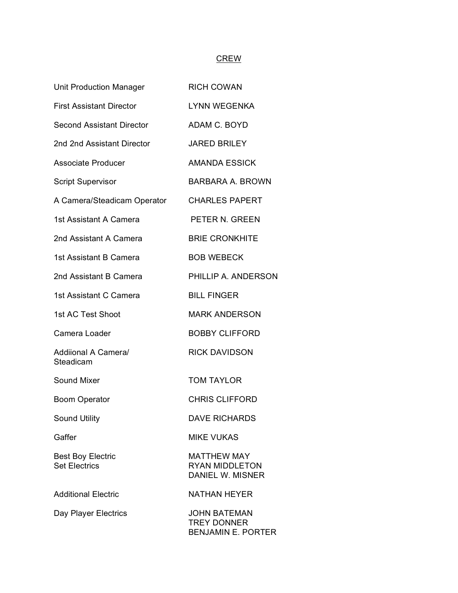#### **CREW**

| <b>Unit Production Manager</b>                   | <b>RICH COWAN</b>                                                      |
|--------------------------------------------------|------------------------------------------------------------------------|
| <b>First Assistant Director</b>                  | <b>LYNN WEGENKA</b>                                                    |
| Second Assistant Director                        | ADAM C. BOYD                                                           |
| 2nd 2nd Assistant Director                       | <b>JARED BRILEY</b>                                                    |
| <b>Associate Producer</b>                        | <b>AMANDA ESSICK</b>                                                   |
| <b>Script Supervisor</b>                         | <b>BARBARA A. BROWN</b>                                                |
| A Camera/Steadicam Operator                      | <b>CHARLES PAPERT</b>                                                  |
| 1st Assistant A Camera                           | PETER N. GREEN                                                         |
| 2nd Assistant A Camera                           | <b>BRIE CRONKHITE</b>                                                  |
| 1st Assistant B Camera                           | <b>BOB WEBECK</b>                                                      |
| 2nd Assistant B Camera                           | PHILLIP A. ANDERSON                                                    |
| 1st Assistant C Camera                           | <b>BILL FINGER</b>                                                     |
| 1st AC Test Shoot                                | <b>MARK ANDERSON</b>                                                   |
| Camera Loader                                    | <b>BOBBY CLIFFORD</b>                                                  |
| Addiional A Camera/<br>Steadicam                 | <b>RICK DAVIDSON</b>                                                   |
| <b>Sound Mixer</b>                               | <b>TOM TAYLOR</b>                                                      |
| <b>Boom Operator</b>                             | <b>CHRIS CLIFFORD</b>                                                  |
| <b>Sound Utility</b>                             | <b>DAVE RICHARDS</b>                                                   |
| Gaffer                                           | <b>MIKE VUKAS</b>                                                      |
| <b>Best Boy Electric</b><br><b>Set Electrics</b> | <b>MATTHEW MAY</b><br><b>RYAN MIDDLETON</b><br><b>DANIEL W. MISNER</b> |
| <b>Additional Electric</b>                       | <b>NATHAN HEYER</b>                                                    |
| Day Player Electrics                             | <b>JOHN BATEMAN</b><br><b>TREY DONNER</b><br><b>BENJAMIN E. PORTER</b> |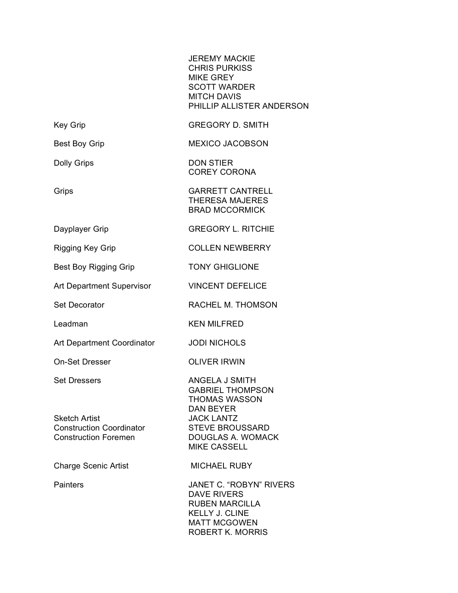|                                                                                                        | <b>JEREMY MACKIE</b><br><b>CHRIS PURKISS</b><br><b>MIKE GREY</b><br><b>SCOTT WARDER</b><br><b>MITCH DAVIS</b><br>PHILLIP ALLISTER ANDERSON                                       |
|--------------------------------------------------------------------------------------------------------|----------------------------------------------------------------------------------------------------------------------------------------------------------------------------------|
| Key Grip                                                                                               | <b>GREGORY D. SMITH</b>                                                                                                                                                          |
| <b>Best Boy Grip</b>                                                                                   | <b>MEXICO JACOBSON</b>                                                                                                                                                           |
| <b>Dolly Grips</b>                                                                                     | <b>DON STIER</b><br><b>COREY CORONA</b>                                                                                                                                          |
| Grips                                                                                                  | <b>GARRETT CANTRELL</b><br><b>THERESA MAJERES</b><br><b>BRAD MCCORMICK</b>                                                                                                       |
| Dayplayer Grip                                                                                         | <b>GREGORY L. RITCHIE</b>                                                                                                                                                        |
| Rigging Key Grip                                                                                       | <b>COLLEN NEWBERRY</b>                                                                                                                                                           |
| Best Boy Rigging Grip                                                                                  | <b>TONY GHIGLIONE</b>                                                                                                                                                            |
| Art Department Supervisor                                                                              | <b>VINCENT DEFELICE</b>                                                                                                                                                          |
| Set Decorator                                                                                          | RACHEL M. THOMSON                                                                                                                                                                |
| Leadman                                                                                                | <b>KEN MILFRED</b>                                                                                                                                                               |
| Art Department Coordinator                                                                             | <b>JODI NICHOLS</b>                                                                                                                                                              |
| On-Set Dresser                                                                                         | <b>OLIVER IRWIN</b>                                                                                                                                                              |
| <b>Set Dressers</b><br>Sketch Artist<br><b>Construction Coordinator</b><br><b>Construction Foremen</b> | ANGELA J SMITH<br><b>GABRIEL THOMPSON</b><br>THOMAS WASSON<br><b>DAN BEYER</b><br><b>JACK LANTZ</b><br><b>STEVE BROUSSARD</b><br><b>DOUGLAS A. WOMACK</b><br><b>MIKE CASSELL</b> |
| <b>Charge Scenic Artist</b>                                                                            | <b>MICHAEL RUBY</b>                                                                                                                                                              |
| Painters                                                                                               | <b>JANET C. "ROBYN" RIVERS</b><br><b>DAVE RIVERS</b><br><b>RUBEN MARCILLA</b><br><b>KELLY J. CLINE</b><br><b>MATT MCGOWEN</b><br><b>ROBERT K. MORRIS</b>                         |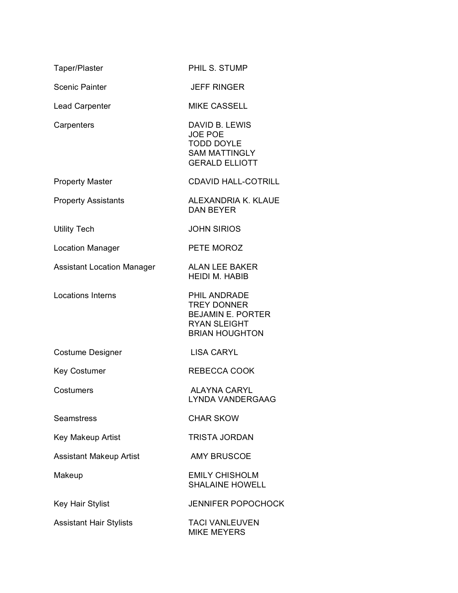| Taper/Plaster                     | PHIL S. STUMP                                                                                                  |
|-----------------------------------|----------------------------------------------------------------------------------------------------------------|
| <b>Scenic Painter</b>             | <b>JEFF RINGER</b>                                                                                             |
| <b>Lead Carpenter</b>             | <b>MIKE CASSELL</b>                                                                                            |
| Carpenters                        | DAVID B. LEWIS<br><b>JOE POE</b><br><b>TODD DOYLE</b><br><b>SAM MATTINGLY</b><br><b>GERALD ELLIOTT</b>         |
| <b>Property Master</b>            | <b>CDAVID HALL-COTRILL</b>                                                                                     |
| <b>Property Assistants</b>        | ALEXANDRIA K. KLAUE<br><b>DAN BEYER</b>                                                                        |
| <b>Utility Tech</b>               | <b>JOHN SIRIOS</b>                                                                                             |
| <b>Location Manager</b>           | PETE MOROZ                                                                                                     |
| <b>Assistant Location Manager</b> | <b>ALAN LEE BAKER</b><br><b>HEIDI M. HABIB</b>                                                                 |
| <b>Locations Interns</b>          | PHIL ANDRADE<br><b>TREY DONNER</b><br><b>BEJAMIN E. PORTER</b><br><b>RYAN SLEIGHT</b><br><b>BRIAN HOUGHTON</b> |
| Costume Designer                  | <b>LISA CARYL</b>                                                                                              |
| <b>Key Costumer</b>               | <b>REBECCA COOK</b>                                                                                            |
| Costumers                         | <b>ALAYNA CARYL</b><br><b>LYNDA VANDERGAAG</b>                                                                 |
| <b>Seamstress</b>                 | <b>CHAR SKOW</b>                                                                                               |
| Key Makeup Artist                 | <b>TRISTA JORDAN</b>                                                                                           |
| <b>Assistant Makeup Artist</b>    | <b>AMY BRUSCOE</b>                                                                                             |
| Makeup                            | <b>EMILY CHISHOLM</b><br><b>SHALAINE HOWELL</b>                                                                |
| <b>Key Hair Stylist</b>           | <b>JENNIFER POPOCHOCK</b>                                                                                      |
| <b>Assistant Hair Stylists</b>    | <b>TACI VANLEUVEN</b><br><b>MIKE MEYERS</b>                                                                    |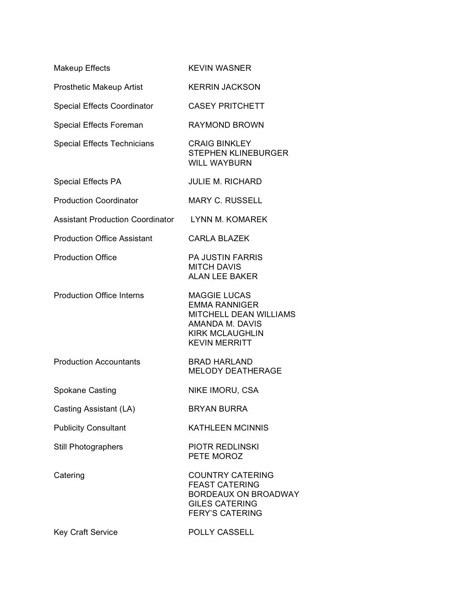| <b>Makeup Effects</b>                            | <b>KEVIN WASNER</b>                                                                                                                               |
|--------------------------------------------------|---------------------------------------------------------------------------------------------------------------------------------------------------|
| <b>Prosthetic Makeup Artist</b>                  | <b>KERRIN JACKSON</b>                                                                                                                             |
| <b>Special Effects Coordinator</b>               | <b>CASEY PRITCHETT</b>                                                                                                                            |
| <b>Special Effects Foreman</b>                   | <b>RAYMOND BROWN</b>                                                                                                                              |
| <b>Special Effects Technicians</b>               | <b>CRAIG BINKLEY</b><br><b>STEPHEN KLINEBURGER</b><br><b>WILL WAYBURN</b>                                                                         |
| <b>Special Effects PA</b>                        | <b>JULIE M. RICHARD</b>                                                                                                                           |
| <b>Production Coordinator</b>                    | <b>MARY C. RUSSELL</b>                                                                                                                            |
| Assistant Production Coordinator LYNN M. KOMAREK |                                                                                                                                                   |
| <b>Production Office Assistant</b>               | <b>CARLA BLAZEK</b>                                                                                                                               |
| <b>Production Office</b>                         | <b>PA JUSTIN FARRIS</b><br><b>MITCH DAVIS</b><br><b>ALAN LEE BAKER</b>                                                                            |
| <b>Production Office Interns</b>                 | <b>MAGGIE LUCAS</b><br><b>EMMA RANNIGER</b><br><b>MITCHELL DEAN WILLIAMS</b><br>AMANDA M. DAVIS<br><b>KIRK MCLAUGHLIN</b><br><b>KEVIN MERRITT</b> |
| <b>Production Accountants</b>                    | <b>BRAD HARLAND</b><br><b>MELODY DEATHERAGE</b>                                                                                                   |
| <b>Spokane Casting</b>                           | <b>NIKE IMORU, CSA</b>                                                                                                                            |
| Casting Assistant (LA)                           | <b>BRYAN BURRA</b>                                                                                                                                |
| <b>Publicity Consultant</b>                      | <b>KATHLEEN MCINNIS</b>                                                                                                                           |
| <b>Still Photographers</b>                       | <b>PIOTR REDLINSKI</b><br>PETE MOROZ                                                                                                              |
| Catering                                         | <b>COUNTRY CATERING</b><br><b>FEAST CATERING</b><br>BORDEAUX ON BROADWAY<br><b>GILES CATERING</b><br><b>FERY'S CATERING</b>                       |
| <b>Key Craft Service</b>                         | POLLY CASSELL                                                                                                                                     |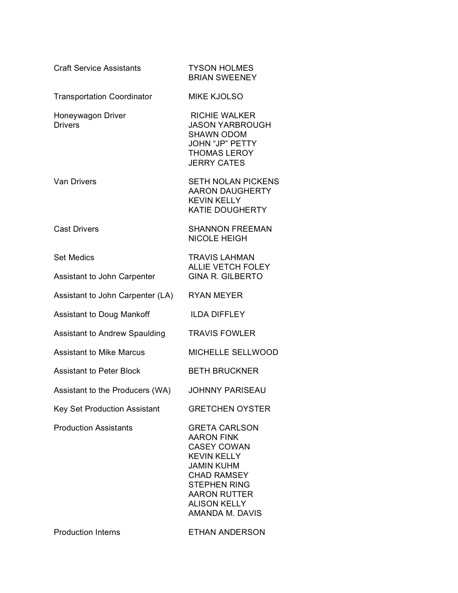| <b>Craft Service Assistants</b>      | <b>TYSON HOLMES</b><br><b>BRIAN SWEENEY</b>                                                                                                                                                                              |
|--------------------------------------|--------------------------------------------------------------------------------------------------------------------------------------------------------------------------------------------------------------------------|
| <b>Transportation Coordinator</b>    | <b>MIKE KJOLSO</b>                                                                                                                                                                                                       |
| Honeywagon Driver<br><b>Drivers</b>  | <b>RICHIE WALKER</b><br><b>JASON YARBROUGH</b><br><b>SHAWN ODOM</b><br><b>JOHN "JP" PETTY</b><br><b>THOMAS LEROY</b><br><b>JERRY CATES</b>                                                                               |
| <b>Van Drivers</b>                   | <b>SETH NOLAN PICKENS</b><br><b>AARON DAUGHERTY</b><br><b>KEVIN KELLY</b><br><b>KATIE DOUGHERTY</b>                                                                                                                      |
| <b>Cast Drivers</b>                  | <b>SHANNON FREEMAN</b><br><b>NICOLE HEIGH</b>                                                                                                                                                                            |
| <b>Set Medics</b>                    | <b>TRAVIS LAHMAN</b><br><b>ALLIE VETCH FOLEY</b>                                                                                                                                                                         |
| Assistant to John Carpenter          | <b>GINA R. GILBERTO</b>                                                                                                                                                                                                  |
| Assistant to John Carpenter (LA)     | <b>RYAN MEYER</b>                                                                                                                                                                                                        |
| <b>Assistant to Doug Mankoff</b>     | <b>ILDA DIFFLEY</b>                                                                                                                                                                                                      |
| <b>Assistant to Andrew Spaulding</b> | <b>TRAVIS FOWLER</b>                                                                                                                                                                                                     |
| <b>Assistant to Mike Marcus</b>      | MICHELLE SELLWOOD                                                                                                                                                                                                        |
| <b>Assistant to Peter Block</b>      | <b>BETH BRUCKNER</b>                                                                                                                                                                                                     |
| Assistant to the Producers (WA)      | <b>JOHNNY PARISEAU</b>                                                                                                                                                                                                   |
| <b>Key Set Production Assistant</b>  | <b>GRETCHEN OYSTER</b>                                                                                                                                                                                                   |
| <b>Production Assistants</b>         | <b>GRETA CARLSON</b><br><b>AARON FINK</b><br><b>CASEY COWAN</b><br><b>KEVIN KELLY</b><br>JAMIN KUHM<br><b>CHAD RAMSEY</b><br><b>STEPHEN RING</b><br><b>AARON RUTTER</b><br><b>ALISON KELLY</b><br><b>AMANDA M. DAVIS</b> |
| <b>Production Interns</b>            | <b>ETHAN ANDERSON</b>                                                                                                                                                                                                    |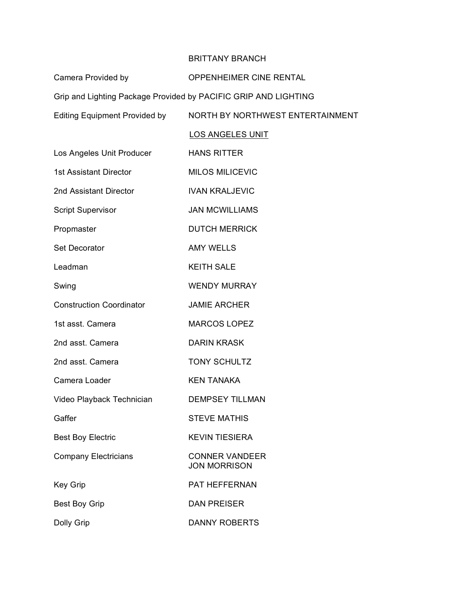#### BRITTANY BRANCH

| Camera Provided by                                              | OPPENHEIMER CINE RENTAL                                        |
|-----------------------------------------------------------------|----------------------------------------------------------------|
| Grip and Lighting Package Provided by PACIFIC GRIP AND LIGHTING |                                                                |
|                                                                 | Editing Equipment Provided by NORTH BY NORTHWEST ENTERTAINMENT |
|                                                                 | <b>LOS ANGELES UNIT</b>                                        |
| Los Angeles Unit Producer                                       | <b>HANS RITTER</b>                                             |
| <b>1st Assistant Director</b>                                   | <b>MILOS MILICEVIC</b>                                         |
| 2nd Assistant Director                                          | <b>IVAN KRALJEVIC</b>                                          |
| <b>Script Supervisor</b>                                        | <b>JAN MCWILLIAMS</b>                                          |
| Propmaster                                                      | <b>DUTCH MERRICK</b>                                           |
| Set Decorator                                                   | <b>AMY WELLS</b>                                               |
| Leadman                                                         | <b>KEITH SALE</b>                                              |
| Swing                                                           | <b>WENDY MURRAY</b>                                            |
| <b>Construction Coordinator</b>                                 | <b>JAMIE ARCHER</b>                                            |
| 1st asst. Camera                                                | <b>MARCOS LOPEZ</b>                                            |
| 2nd asst. Camera                                                | <b>DARIN KRASK</b>                                             |
| 2nd asst. Camera                                                | <b>TONY SCHULTZ</b>                                            |
| Camera Loader                                                   | <b>KEN TANAKA</b>                                              |
| Video Playback Technician                                       | <b>DEMPSEY TILLMAN</b>                                         |
| Gaffer                                                          | <b>STEVE MATHIS</b>                                            |
| <b>Best Boy Electric</b>                                        | <b>KEVIN TIESIERA</b>                                          |
| <b>Company Electricians</b>                                     | <b>CONNER VANDEER</b><br><b>JON MORRISON</b>                   |
| <b>Key Grip</b>                                                 | <b>PAT HEFFERNAN</b>                                           |
| <b>Best Boy Grip</b>                                            | <b>DAN PREISER</b>                                             |
| Dolly Grip                                                      | <b>DANNY ROBERTS</b>                                           |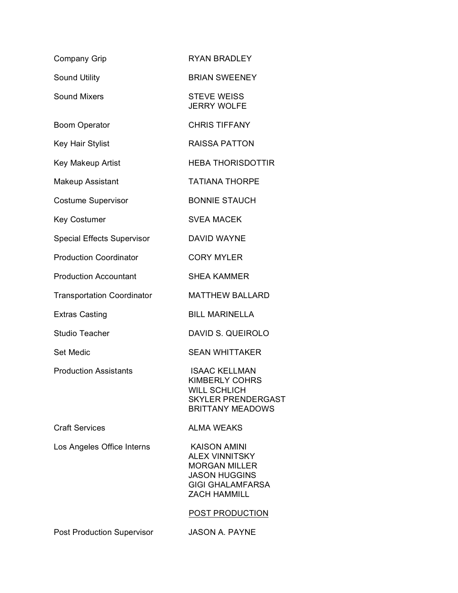| Company Grip                      | <b>RYAN BRADLEY</b>                                                                                                                     |
|-----------------------------------|-----------------------------------------------------------------------------------------------------------------------------------------|
| <b>Sound Utility</b>              | <b>BRIAN SWEENEY</b>                                                                                                                    |
| <b>Sound Mixers</b>               | <b>STEVE WEISS</b><br><b>JERRY WOLFE</b>                                                                                                |
| <b>Boom Operator</b>              | <b>CHRIS TIFFANY</b>                                                                                                                    |
| <b>Key Hair Stylist</b>           | <b>RAISSA PATTON</b>                                                                                                                    |
| <b>Key Makeup Artist</b>          | <b>HEBA THORISDOTTIR</b>                                                                                                                |
| <b>Makeup Assistant</b>           | <b>TATIANA THORPE</b>                                                                                                                   |
| <b>Costume Supervisor</b>         | <b>BONNIE STAUCH</b>                                                                                                                    |
| <b>Key Costumer</b>               | <b>SVEA MACEK</b>                                                                                                                       |
| <b>Special Effects Supervisor</b> | <b>DAVID WAYNE</b>                                                                                                                      |
| <b>Production Coordinator</b>     | <b>CORY MYLER</b>                                                                                                                       |
| <b>Production Accountant</b>      | <b>SHEA KAMMER</b>                                                                                                                      |
| <b>Transportation Coordinator</b> | <b>MATTHEW BALLARD</b>                                                                                                                  |
| <b>Extras Casting</b>             | <b>BILL MARINELLA</b>                                                                                                                   |
| <b>Studio Teacher</b>             | DAVID S. QUEIROLO                                                                                                                       |
| Set Medic                         | <b>SEAN WHITTAKER</b>                                                                                                                   |
| <b>Production Assistants</b>      | <b>ISAAC KELLMAN</b><br><b>KIMBERLY COHRS</b><br><b>WILL SCHLICH</b><br><b>SKYLER PRENDERGAST</b><br><b>BRITTANY MEADOWS</b>            |
| <b>Craft Services</b>             | <b>ALMA WEAKS</b>                                                                                                                       |
| Los Angeles Office Interns        | KAISON AMINI<br><b>ALEX VINNITSKY</b><br><b>MORGAN MILLER</b><br><b>JASON HUGGINS</b><br><b>GIGI GHALAMFARSA</b><br><b>ZACH HAMMILL</b> |
|                                   | <b>POST PRODUCTION</b>                                                                                                                  |
| <b>Post Production Supervisor</b> | <b>JASON A. PAYNE</b>                                                                                                                   |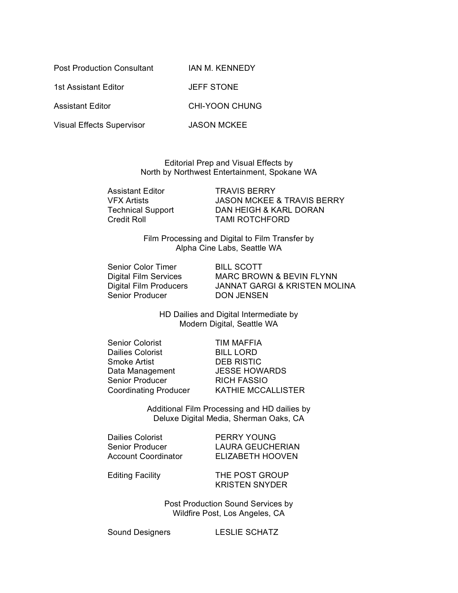Post Production Consultant IAN M. KENNEDY

1st Assistant Editor **JEFF STONE** 

Assistant Editor CHI-YOON CHUNG

Visual Effects Supervisor JASON MCKEE

Editorial Prep and Visual Effects by North by Northwest Entertainment, Spokane WA

Assistant Editor TRAVIS BERRY

VFX Artists JASON MCKEE & TRAVIS BERRY Technical Support DAN HEIGH & KARL DORAN Credit Roll TAMI ROTCHFORD

> Film Processing and Digital to Film Transfer by Alpha Cine Labs, Seattle WA

Senior Color Timer<br>
Digital Film Services

MARC BROV Senior Producer DON JENSEN

Digital Film Services MARC BROWN & BEVIN FLYNN<br>Digital Film Producers JANNAT GARGI & KRISTEN MOL JANNAT GARGI & KRISTEN MOLINA

> HD Dailies and Digital Intermediate by Modern Digital, Seattle WA

| <b>Senior Colorist</b>       | <b>TIM MAFFIA</b>         |
|------------------------------|---------------------------|
| <b>Dailies Colorist</b>      | <b>BILL LORD</b>          |
| <b>Smoke Artist</b>          | <b>DEB RISTIC</b>         |
| Data Management              | <b>JESSE HOWARDS</b>      |
| Senior Producer              | <b>RICH FASSIO</b>        |
| <b>Coordinating Producer</b> | <b>KATHIE MCCALLISTER</b> |

Additional Film Processing and HD dailies by Deluxe Digital Media, Sherman Oaks, CA

| Dailies Colorist           |  |
|----------------------------|--|
| <b>Senior Producer</b>     |  |
| <b>Account Coordinator</b> |  |

PERRY YOUNG LAURA GEUCHERIAN **ELIZABETH HOOVEN** 

Editing Facility **THE POST GROUP** KRISTEN SNYDER

> Post Production Sound Services by Wildfire Post, Los Angeles, CA

Sound Designers LESLIE SCHATZ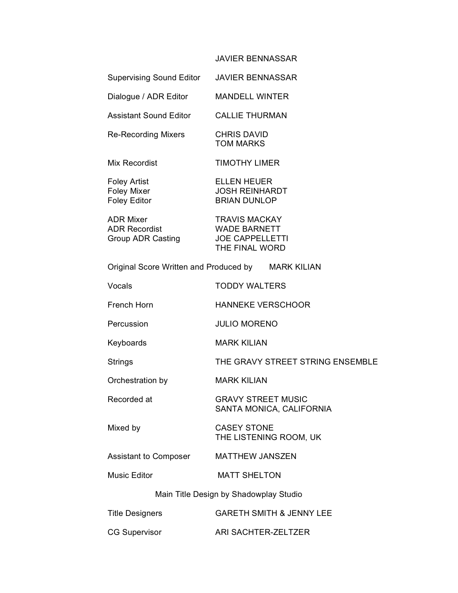#### JAVIER BENNASSAR

| Supervising Sound Editor JAVIER BENNASSAR                        |                                                                                         |
|------------------------------------------------------------------|-----------------------------------------------------------------------------------------|
| Dialogue / ADR Editor                                            | <b>MANDELL WINTER</b>                                                                   |
| <b>Assistant Sound Editor</b>                                    | <b>CALLIE THURMAN</b>                                                                   |
| <b>Re-Recording Mixers</b>                                       | <b>CHRIS DAVID</b><br><b>TOM MARKS</b>                                                  |
| Mix Recordist                                                    | <b>TIMOTHY LIMER</b>                                                                    |
| <b>Foley Artist</b><br><b>Foley Mixer</b><br><b>Foley Editor</b> | <b>ELLEN HEUER</b><br><b>JOSH REINHARDT</b><br><b>BRIAN DUNLOP</b>                      |
| <b>ADR Mixer</b><br><b>ADR Recordist</b><br>Group ADR Casting    | <b>TRAVIS MACKAY</b><br><b>WADE BARNETT</b><br><b>JOE CAPPELLETTI</b><br>THE FINAL WORD |
|                                                                  | Original Score Written and Produced by MARK KILIAN                                      |
| Vocals                                                           | <b>TODDY WALTERS</b>                                                                    |
| French Horn                                                      | <b>HANNEKE VERSCHOOR</b>                                                                |
| Percussion                                                       | <b>JULIO MORENO</b>                                                                     |
| Keyboards                                                        | <b>MARK KILIAN</b>                                                                      |
| <b>Strings</b>                                                   | THE GRAVY STREET STRING ENSEMBLE                                                        |
| Orchestration by                                                 | <b>MARK KILIAN</b>                                                                      |
| Recorded at                                                      | <b>GRAVY STREET MUSIC</b><br>SANTA MONICA, CALIFORNIA                                   |
| Mixed by                                                         | <b>CASEY STONE</b><br>THE LISTENING ROOM, UK                                            |
| <b>Assistant to Composer</b>                                     | <b>MATTHEW JANSZEN</b>                                                                  |
| <b>Music Editor</b>                                              | <b>MATT SHELTON</b>                                                                     |
|                                                                  | Main Title Design by Shadowplay Studio                                                  |
| <b>Title Designers</b>                                           | <b>GARETH SMITH &amp; JENNY LEE</b>                                                     |
| <b>CG Supervisor</b>                                             | ARI SACHTER-ZELTZER                                                                     |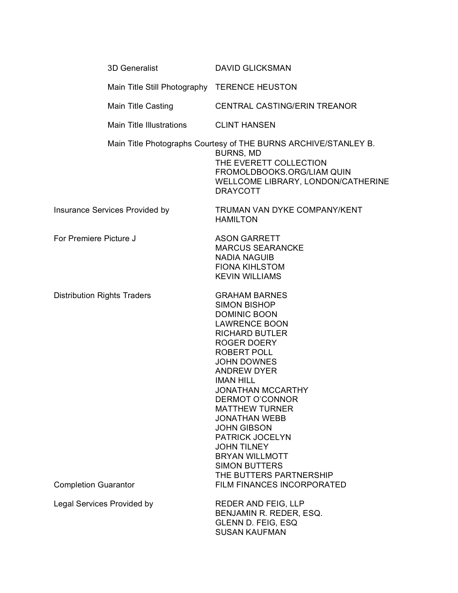|                                    | <b>3D Generalist</b>                         | <b>DAVID GLICKSMAN</b>                                                                                                                                                                                                                                                                                                                                                                                                                                                            |
|------------------------------------|----------------------------------------------|-----------------------------------------------------------------------------------------------------------------------------------------------------------------------------------------------------------------------------------------------------------------------------------------------------------------------------------------------------------------------------------------------------------------------------------------------------------------------------------|
|                                    | Main Title Still Photography TERENCE HEUSTON |                                                                                                                                                                                                                                                                                                                                                                                                                                                                                   |
|                                    | Main Title Casting                           | <b>CENTRAL CASTING/ERIN TREANOR</b>                                                                                                                                                                                                                                                                                                                                                                                                                                               |
|                                    | Main Title Illustrations                     | <b>CLINT HANSEN</b>                                                                                                                                                                                                                                                                                                                                                                                                                                                               |
|                                    |                                              | Main Title Photographs Courtesy of THE BURNS ARCHIVE/STANLEY B.<br><b>BURNS, MD</b><br>THE EVERETT COLLECTION<br>FROMOLDBOOKS.ORG/LIAM QUIN<br>WELLCOME LIBRARY, LONDON/CATHERINE<br><b>DRAYCOTT</b>                                                                                                                                                                                                                                                                              |
|                                    | Insurance Services Provided by               | TRUMAN VAN DYKE COMPANY/KENT<br><b>HAMILTON</b>                                                                                                                                                                                                                                                                                                                                                                                                                                   |
| For Premiere Picture J             |                                              | <b>ASON GARRETT</b><br><b>MARCUS SEARANCKE</b><br><b>NADIA NAGUIB</b><br><b>FIONA KIHLSTOM</b><br><b>KEVIN WILLIAMS</b>                                                                                                                                                                                                                                                                                                                                                           |
| <b>Distribution Rights Traders</b> |                                              | <b>GRAHAM BARNES</b><br><b>SIMON BISHOP</b><br><b>DOMINIC BOON</b><br><b>LAWRENCE BOON</b><br><b>RICHARD BUTLER</b><br><b>ROGER DOERY</b><br><b>ROBERT POLL</b><br><b>JOHN DOWNES</b><br><b>ANDREW DYER</b><br><b>IMAN HILL</b><br><b>JONATHAN MCCARTHY</b><br>DERMOT O'CONNOR<br><b>MATTHEW TURNER</b><br><b>JONATHAN WEBB</b><br><b>JOHN GIBSON</b><br><b>PATRICK JOCELYN</b><br><b>JOHN TILNEY</b><br><b>BRYAN WILLMOTT</b><br><b>SIMON BUTTERS</b><br>THE BUTTERS PARTNERSHIP |
| <b>Completion Guarantor</b>        |                                              | FILM FINANCES INCORPORATED                                                                                                                                                                                                                                                                                                                                                                                                                                                        |
| <b>Legal Services Provided by</b>  |                                              | <b>REDER AND FEIG, LLP</b><br>BENJAMIN R. REDER, ESQ.<br><b>GLENN D. FEIG, ESQ</b><br><b>SUSAN KAUFMAN</b>                                                                                                                                                                                                                                                                                                                                                                        |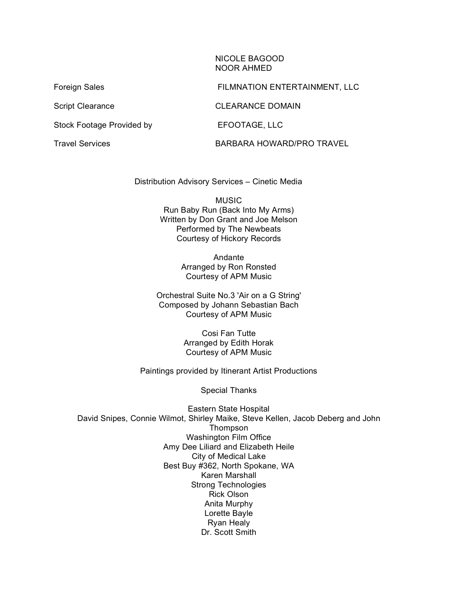NICOLE BAGOOD NOOR AHMED

Stock Footage Provided by EFOOTAGE, LLC

Foreign Sales FILMNATION ENTERTAINMENT, LLC

Script Clearance CLEARANCE DOMAIN

Travel Services BARBARA HOWARD/PRO TRAVEL

Distribution Advisory Services – Cinetic Media

MUSIC Run Baby Run (Back Into My Arms) Written by Don Grant and Joe Melson Performed by The Newbeats Courtesy of Hickory Records

> Andante Arranged by Ron Ronsted Courtesy of APM Music

Orchestral Suite No.3 'Air on a G String' Composed by Johann Sebastian Bach Courtesy of APM Music

> Cosi Fan Tutte Arranged by Edith Horak Courtesy of APM Music

Paintings provided by Itinerant Artist Productions

Special Thanks

Eastern State Hospital David Snipes, Connie Wilmot, Shirley Maike, Steve Kellen, Jacob Deberg and John Thompson Washington Film Office Amy Dee Liliard and Elizabeth Heile City of Medical Lake Best Buy #362, North Spokane, WA Karen Marshall Strong Technologies Rick Olson Anita Murphy Lorette Bayle Ryan Healy Dr. Scott Smith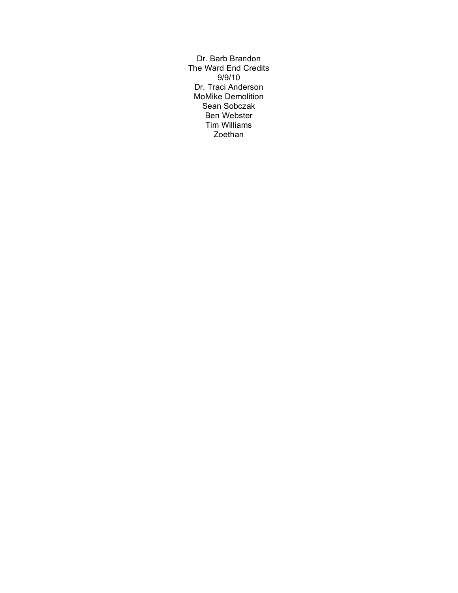Dr. Barb Brandon The Ward End Credits 9/9/10 Dr. Traci Anderson MoMike Demolition Sean Sobczak Ben Webster Tim Williams Zoethan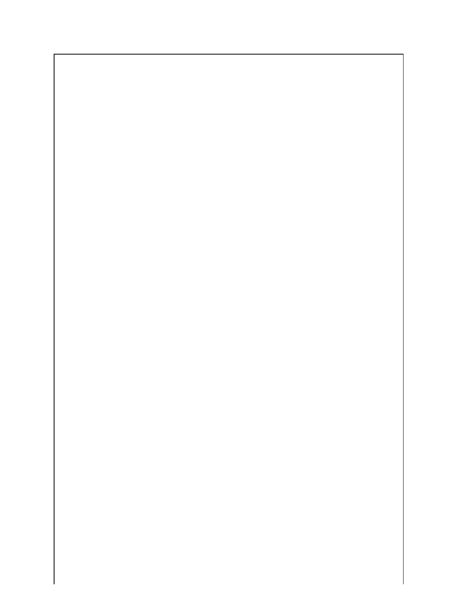